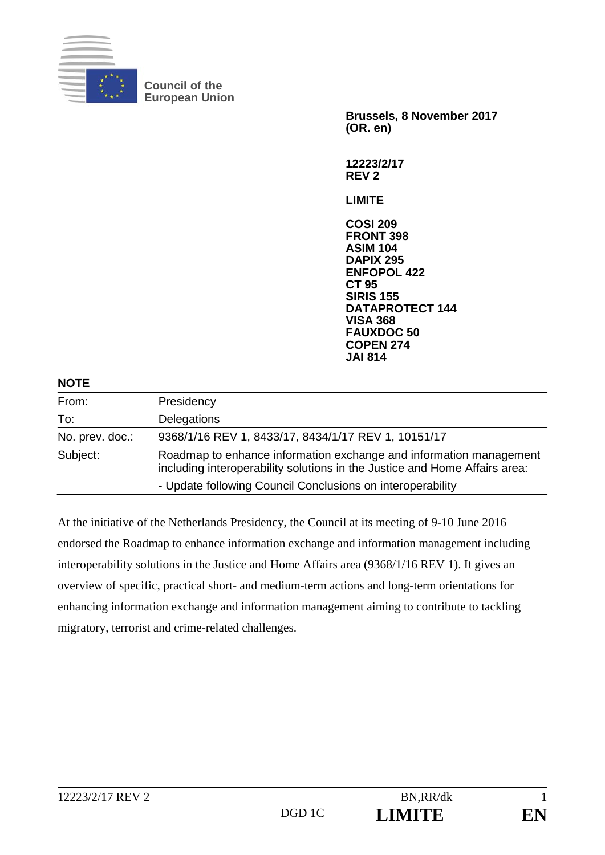

**Council of the European Union** 

> **Brussels, 8 November 2017 (OR. en)**

**12223/2/17 REV 2** 

**LIMITE** 

**COSI 209 FRONT 398 ASIM 104 DAPIX 295 ENFOPOL 422 CT 95 SIRIS 155 DATAPROTECT 144 VISA 368 FAUXDOC 50 COPEN 274 JAI 814**

| <b>NOTE</b>     |                                                                                                                                                  |
|-----------------|--------------------------------------------------------------------------------------------------------------------------------------------------|
| From:           | Presidency                                                                                                                                       |
| To:             | Delegations                                                                                                                                      |
| No. prev. doc.: | 9368/1/16 REV 1, 8433/17, 8434/1/17 REV 1, 10151/17                                                                                              |
| Subject:        | Roadmap to enhance information exchange and information management<br>including interoperability solutions in the Justice and Home Affairs area: |
|                 | - Update following Council Conclusions on interoperability                                                                                       |

At the initiative of the Netherlands Presidency, the Council at its meeting of 9-10 June 2016 endorsed the Roadmap to enhance information exchange and information management including interoperability solutions in the Justice and Home Affairs area (9368/1/16 REV 1). It gives an overview of specific, practical short- and medium-term actions and long-term orientations for enhancing information exchange and information management aiming to contribute to tackling migratory, terrorist and crime-related challenges.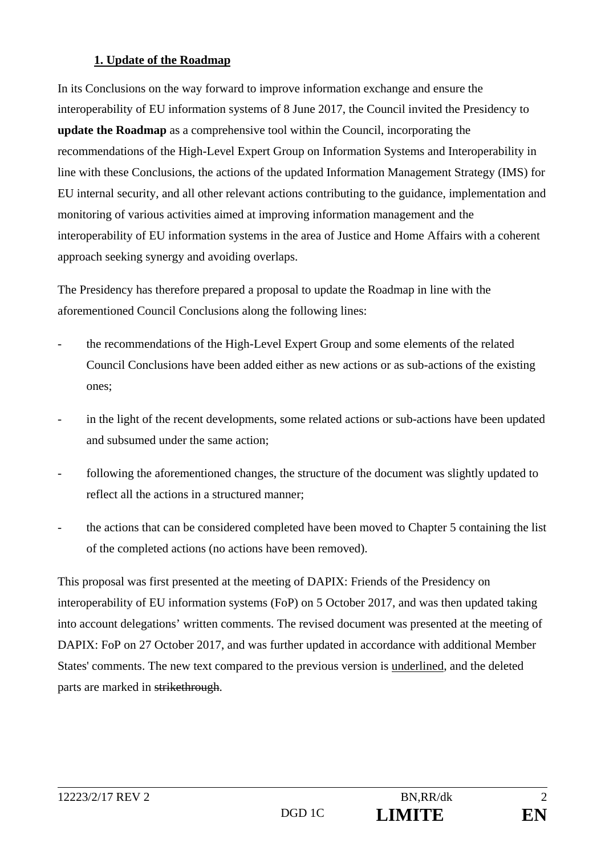#### **1. Update of the Roadmap**

In its Conclusions on the way forward to improve information exchange and ensure the interoperability of EU information systems of 8 June 2017, the Council invited the Presidency to **update the Roadmap** as a comprehensive tool within the Council, incorporating the recommendations of the High-Level Expert Group on Information Systems and Interoperability in line with these Conclusions, the actions of the updated Information Management Strategy (IMS) for EU internal security, and all other relevant actions contributing to the guidance, implementation and monitoring of various activities aimed at improving information management and the interoperability of EU information systems in the area of Justice and Home Affairs with a coherent approach seeking synergy and avoiding overlaps.

The Presidency has therefore prepared a proposal to update the Roadmap in line with the aforementioned Council Conclusions along the following lines:

- the recommendations of the High-Level Expert Group and some elements of the related Council Conclusions have been added either as new actions or as sub-actions of the existing ones;
- in the light of the recent developments, some related actions or sub-actions have been updated and subsumed under the same action;
- following the aforementioned changes, the structure of the document was slightly updated to reflect all the actions in a structured manner;
- the actions that can be considered completed have been moved to Chapter 5 containing the list of the completed actions (no actions have been removed).

This proposal was first presented at the meeting of DAPIX: Friends of the Presidency on interoperability of EU information systems (FoP) on 5 October 2017, and was then updated taking into account delegations' written comments. The revised document was presented at the meeting of DAPIX: FoP on 27 October 2017, and was further updated in accordance with additional Member States' comments. The new text compared to the previous version is underlined, and the deleted parts are marked in strikethrough.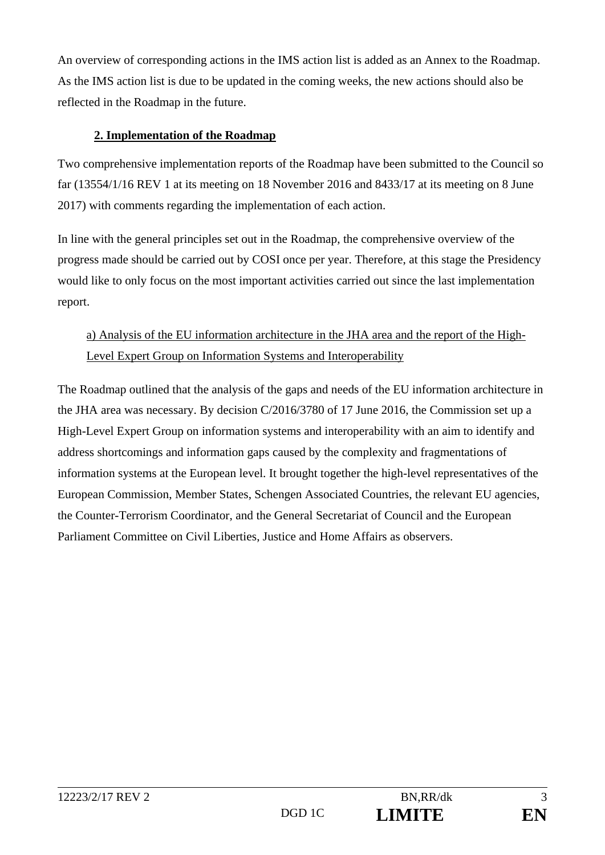An overview of corresponding actions in the IMS action list is added as an Annex to the Roadmap. As the IMS action list is due to be updated in the coming weeks, the new actions should also be reflected in the Roadmap in the future.

#### **2. Implementation of the Roadmap**

Two comprehensive implementation reports of the Roadmap have been submitted to the Council so far (13554/1/16 REV 1 at its meeting on 18 November 2016 and 8433/17 at its meeting on 8 June 2017) with comments regarding the implementation of each action.

In line with the general principles set out in the Roadmap, the comprehensive overview of the progress made should be carried out by COSI once per year. Therefore, at this stage the Presidency would like to only focus on the most important activities carried out since the last implementation report.

# a) Analysis of the EU information architecture in the JHA area and the report of the High-Level Expert Group on Information Systems and Interoperability

The Roadmap outlined that the analysis of the gaps and needs of the EU information architecture in the JHA area was necessary. By decision C/2016/3780 of 17 June 2016, the Commission set up a High-Level Expert Group on information systems and interoperability with an aim to identify and address shortcomings and information gaps caused by the complexity and fragmentations of information systems at the European level. It brought together the high-level representatives of the European Commission, Member States, Schengen Associated Countries, the relevant EU agencies, the Counter-Terrorism Coordinator, and the General Secretariat of Council and the European Parliament Committee on Civil Liberties, Justice and Home Affairs as observers.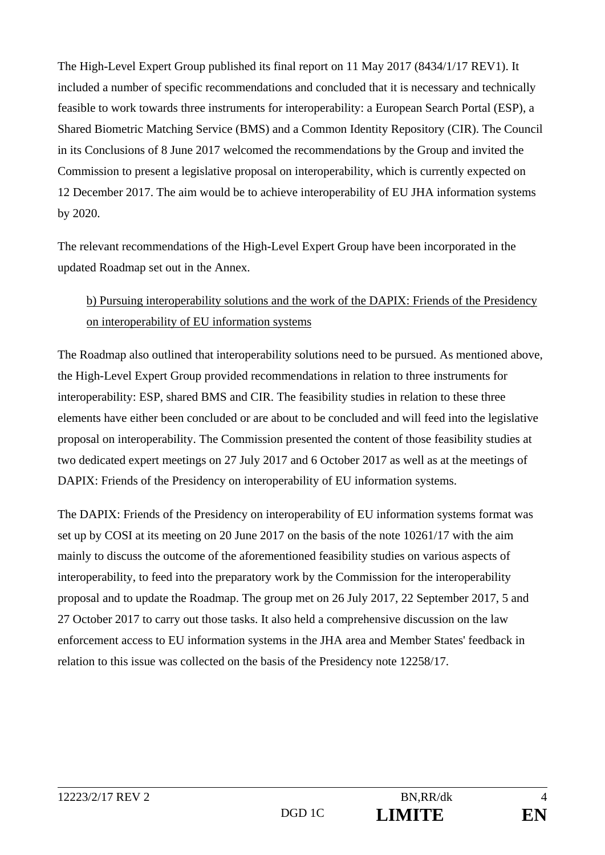The High-Level Expert Group published its final report on 11 May 2017 (8434/1/17 REV1). It included a number of specific recommendations and concluded that it is necessary and technically feasible to work towards three instruments for interoperability: a European Search Portal (ESP), a Shared Biometric Matching Service (BMS) and a Common Identity Repository (CIR). The Council in its Conclusions of 8 June 2017 welcomed the recommendations by the Group and invited the Commission to present a legislative proposal on interoperability, which is currently expected on 12 December 2017. The aim would be to achieve interoperability of EU JHA information systems by 2020.

The relevant recommendations of the High-Level Expert Group have been incorporated in the updated Roadmap set out in the Annex.

### b) Pursuing interoperability solutions and the work of the DAPIX: Friends of the Presidency on interoperability of EU information systems

The Roadmap also outlined that interoperability solutions need to be pursued. As mentioned above, the High-Level Expert Group provided recommendations in relation to three instruments for interoperability: ESP, shared BMS and CIR. The feasibility studies in relation to these three elements have either been concluded or are about to be concluded and will feed into the legislative proposal on interoperability. The Commission presented the content of those feasibility studies at two dedicated expert meetings on 27 July 2017 and 6 October 2017 as well as at the meetings of DAPIX: Friends of the Presidency on interoperability of EU information systems.

The DAPIX: Friends of the Presidency on interoperability of EU information systems format was set up by COSI at its meeting on 20 June 2017 on the basis of the note 10261/17 with the aim mainly to discuss the outcome of the aforementioned feasibility studies on various aspects of interoperability, to feed into the preparatory work by the Commission for the interoperability proposal and to update the Roadmap. The group met on 26 July 2017, 22 September 2017, 5 and 27 October 2017 to carry out those tasks. It also held a comprehensive discussion on the law enforcement access to EU information systems in the JHA area and Member States' feedback in relation to this issue was collected on the basis of the Presidency note 12258/17.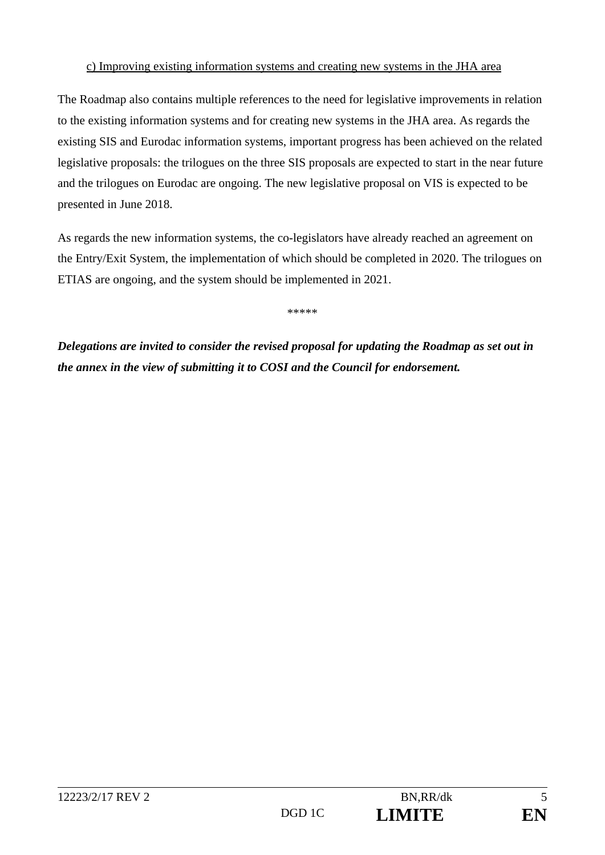#### c) Improving existing information systems and creating new systems in the JHA area

The Roadmap also contains multiple references to the need for legislative improvements in relation to the existing information systems and for creating new systems in the JHA area. As regards the existing SIS and Eurodac information systems, important progress has been achieved on the related legislative proposals: the trilogues on the three SIS proposals are expected to start in the near future and the trilogues on Eurodac are ongoing. The new legislative proposal on VIS is expected to be presented in June 2018.

As regards the new information systems, the co-legislators have already reached an agreement on the Entry/Exit System, the implementation of which should be completed in 2020. The trilogues on ETIAS are ongoing, and the system should be implemented in 2021.

\*\*\*\*\*

*Delegations are invited to consider the revised proposal for updating the Roadmap as set out in the annex in the view of submitting it to COSI and the Council for endorsement.*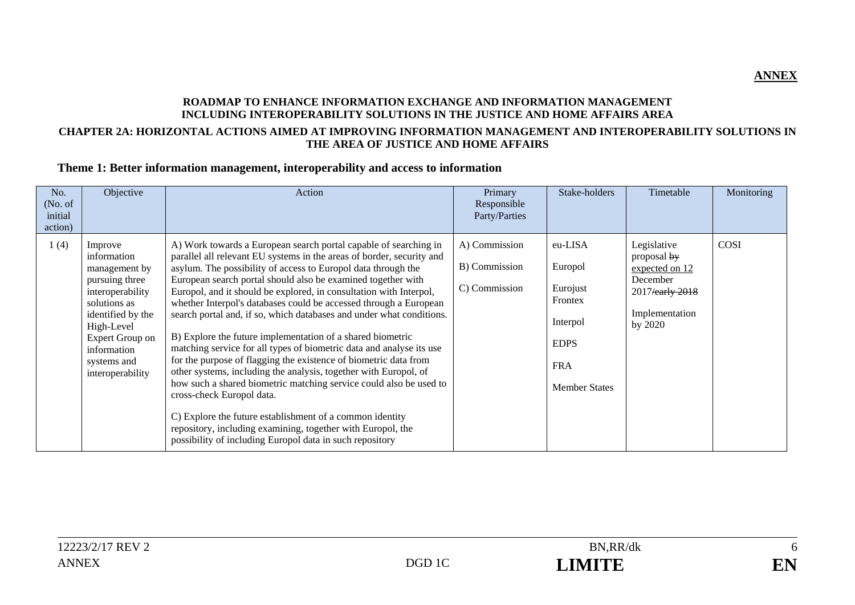#### **ROADMAP TO ENHANCE INFORMATION EXCHANGE AND INFORMATION MANAGEMENT INCLUDING INTEROPERABILITY SOLUTIONS IN THE JUSTICE AND HOME AFFAIRS AREA CHAPTER 2A: HORIZONTAL ACTIONS AIMED AT IMPROVING INFORMATION MANAGEMENT AND INTEROPERABILITY SOLUTIONS IN THE AREA OF JUSTICE AND HOME AFFAIRS**

#### **Theme 1: Better information management, interoperability and access to information**

| No.<br>(No. of<br>initial<br>action) | Objective                                                                                                                                                                                             | Action                                                                                                                                                                                                                                                                                                                                                                                                                                                                                                                                                                                                                                                                                                                                                                                                                                                                                                                                                                                                                                                                | Primary<br>Responsible<br>Party/Parties         | Stake-holders                                                                                              | Timetable                                                                                                | Monitoring |
|--------------------------------------|-------------------------------------------------------------------------------------------------------------------------------------------------------------------------------------------------------|-----------------------------------------------------------------------------------------------------------------------------------------------------------------------------------------------------------------------------------------------------------------------------------------------------------------------------------------------------------------------------------------------------------------------------------------------------------------------------------------------------------------------------------------------------------------------------------------------------------------------------------------------------------------------------------------------------------------------------------------------------------------------------------------------------------------------------------------------------------------------------------------------------------------------------------------------------------------------------------------------------------------------------------------------------------------------|-------------------------------------------------|------------------------------------------------------------------------------------------------------------|----------------------------------------------------------------------------------------------------------|------------|
| 1(4)                                 | Improve<br>information<br>management by<br>pursuing three<br>interoperability<br>solutions as<br>identified by the<br>High-Level<br>Expert Group on<br>information<br>systems and<br>interoperability | A) Work towards a European search portal capable of searching in<br>parallel all relevant EU systems in the areas of border, security and<br>asylum. The possibility of access to Europol data through the<br>European search portal should also be examined together with<br>Europol, and it should be explored, in consultation with Interpol,<br>whether Interpol's databases could be accessed through a European<br>search portal and, if so, which databases and under what conditions.<br>B) Explore the future implementation of a shared biometric<br>matching service for all types of biometric data and analyse its use<br>for the purpose of flagging the existence of biometric data from<br>other systems, including the analysis, together with Europol, of<br>how such a shared biometric matching service could also be used to<br>cross-check Europol data.<br>C) Explore the future establishment of a common identity<br>repository, including examining, together with Europol, the<br>possibility of including Europol data in such repository | A) Commission<br>B) Commission<br>C) Commission | eu-LISA<br>Europol<br>Eurojust<br>Frontex<br>Interpol<br><b>EDPS</b><br><b>FRA</b><br><b>Member States</b> | Legislative<br>proposal by<br>expected on 12<br>December<br>2017/early 2018<br>Implementation<br>by 2020 | COSI       |

**ANNEX**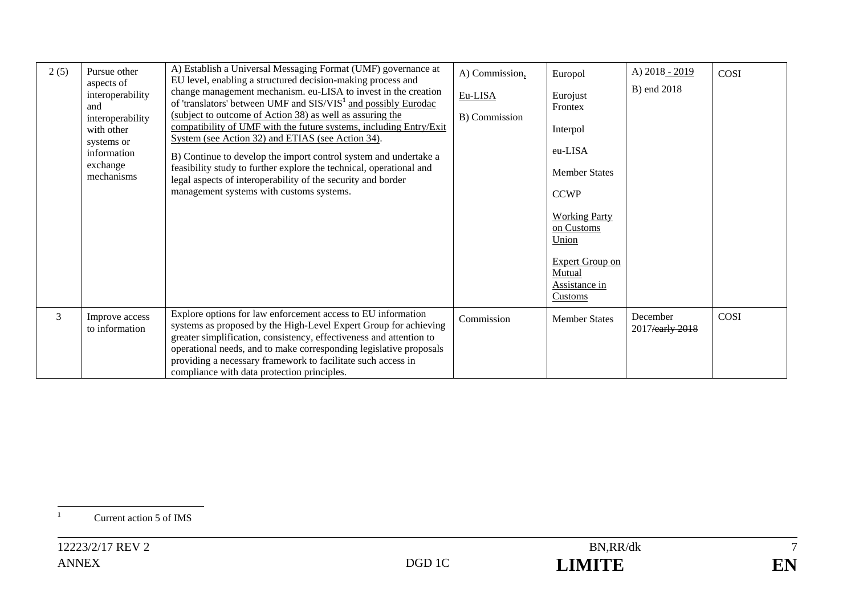| 2(5) | Pursue other<br>aspects of<br>interoperability<br>and<br>interoperability<br>with other<br>systems or<br>information<br>exchange<br>mechanisms | A) Establish a Universal Messaging Format (UMF) governance at<br>EU level, enabling a structured decision-making process and<br>change management mechanism. eu-LISA to invest in the creation<br>of 'translators' between UMF and SIS/VIS <sup>1</sup> and possibly Eurodac<br>(subject to outcome of Action 38) as well as assuring the<br>compatibility of UMF with the future systems, including Entry/Exit<br>System (see Action 32) and ETIAS (see Action 34).<br>B) Continue to develop the import control system and undertake a<br>feasibility study to further explore the technical, operational and<br>legal aspects of interoperability of the security and border<br>management systems with customs systems. | A) Commission,<br>Eu-LISA<br>B) Commission | Europol<br>Eurojust<br>Frontex<br>Interpol<br>eu-LISA<br><b>Member States</b><br><b>CCWP</b><br><b>Working Party</b><br>on Customs<br>Union<br><b>Expert Group on</b><br>Mutual<br>Assistance in<br><b>Customs</b> | A) 2018 - 2019<br>B) end 2018 | COSI        |
|------|------------------------------------------------------------------------------------------------------------------------------------------------|-----------------------------------------------------------------------------------------------------------------------------------------------------------------------------------------------------------------------------------------------------------------------------------------------------------------------------------------------------------------------------------------------------------------------------------------------------------------------------------------------------------------------------------------------------------------------------------------------------------------------------------------------------------------------------------------------------------------------------|--------------------------------------------|--------------------------------------------------------------------------------------------------------------------------------------------------------------------------------------------------------------------|-------------------------------|-------------|
| 3    | Improve access<br>to information                                                                                                               | Explore options for law enforcement access to EU information<br>systems as proposed by the High-Level Expert Group for achieving<br>greater simplification, consistency, effectiveness and attention to<br>operational needs, and to make corresponding legislative proposals<br>providing a necessary framework to facilitate such access in<br>compliance with data protection principles.                                                                                                                                                                                                                                                                                                                                | Commission                                 | <b>Member States</b>                                                                                                                                                                                               | December<br>2017/early 2018   | <b>COSI</b> |

<sup>1</sup> Current action 5 of IMS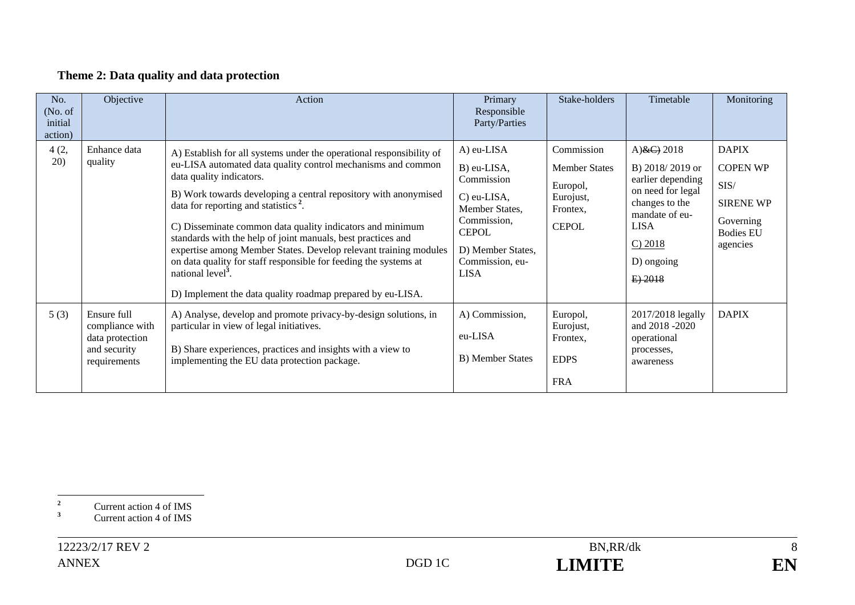### **Theme 2: Data quality and data protection**

| No.<br>(No. of<br>initial<br>action) | Objective                                                                         | Action                                                                                                                                                                                                                                                                                                                                                                                                                                                                                                                                                                                                                                                      | Primary<br>Responsible<br>Party/Parties                                                                                                                        | Stake-holders                                                                           | Timetable                                                                                                                                                    | Monitoring                                                                                               |
|--------------------------------------|-----------------------------------------------------------------------------------|-------------------------------------------------------------------------------------------------------------------------------------------------------------------------------------------------------------------------------------------------------------------------------------------------------------------------------------------------------------------------------------------------------------------------------------------------------------------------------------------------------------------------------------------------------------------------------------------------------------------------------------------------------------|----------------------------------------------------------------------------------------------------------------------------------------------------------------|-----------------------------------------------------------------------------------------|--------------------------------------------------------------------------------------------------------------------------------------------------------------|----------------------------------------------------------------------------------------------------------|
| 4(2,<br>(20)                         | Enhance data<br>quality                                                           | A) Establish for all systems under the operational responsibility of<br>eu-LISA automated data quality control mechanisms and common<br>data quality indicators.<br>B) Work towards developing a central repository with anonymised<br>data for reporting and statistics <sup>2</sup> .<br>C) Disseminate common data quality indicators and minimum<br>standards with the help of joint manuals, best practices and<br>expertise among Member States. Develop relevant training modules<br>on data quality for staff responsible for feeding the systems at<br>national level <sup>3</sup> .<br>D) Implement the data quality roadmap prepared by eu-LISA. | A) eu-LISA<br>B) eu-LISA,<br>Commission<br>C) eu-LISA,<br>Member States,<br>Commission,<br><b>CEPOL</b><br>D) Member States,<br>Commission, eu-<br><b>LISA</b> | Commission<br><b>Member States</b><br>Europol,<br>Eurojust,<br>Frontex,<br><b>CEPOL</b> | A) $\&C$ ) 2018<br>B) 2018/2019 or<br>earlier depending<br>on need for legal<br>changes to the<br>mandate of eu-<br>LISA<br>C) 2018<br>D) ongoing<br>E) 2018 | <b>DAPIX</b><br><b>COPEN WP</b><br>SIS/<br><b>SIRENE WP</b><br>Governing<br><b>Bodies EU</b><br>agencies |
| 5(3)                                 | Ensure full<br>compliance with<br>data protection<br>and security<br>requirements | A) Analyse, develop and promote privacy-by-design solutions, in<br>particular in view of legal initiatives.<br>B) Share experiences, practices and insights with a view to<br>implementing the EU data protection package.                                                                                                                                                                                                                                                                                                                                                                                                                                  | A) Commission,<br>eu-LISA<br>B) Member States                                                                                                                  | Europol,<br>Eurojust,<br>Frontex,<br><b>EDPS</b><br><b>FRA</b>                          | 2017/2018 legally<br>and 2018 -2020<br>operational<br>processes,<br>awareness                                                                                | <b>DAPIX</b>                                                                                             |

**<sup>2</sup>** Current action 4 of IMS

**<sup>3</sup>** Current action 4 of IMS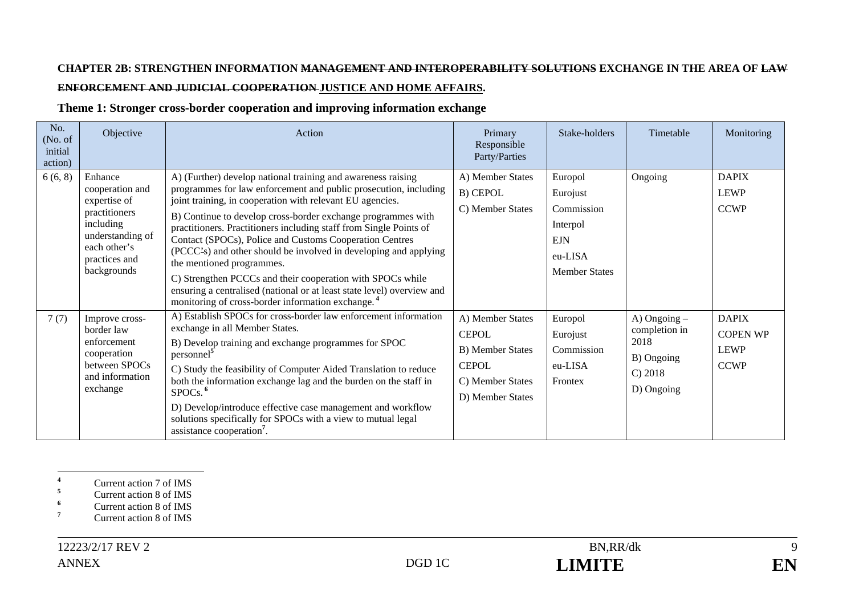### **CHAPTER 2B: STRENGTHEN INFORMATION MANAGEMENT AND INTEROPERABILITY SOLUTIONS EXCHANGE IN THE AREA OF LAW ENFORCEMENT AND JUDICIAL COOPERATION JUSTICE AND HOME AFFAIRS.**

#### **Theme 1: Stronger cross-border cooperation and improving information exchange**

| No.<br>(No. of<br>initial<br>action) | Objective                                                                                                                                    | Action                                                                                                                                                                                                                                                                                                                                                                                                                                                                                                                                                                                                                                                                                                   | Primary<br>Responsible<br>Party/Parties                                                                              | Stake-holders                                                                                  | Timetable                                                                        | Monitoring                                                    |
|--------------------------------------|----------------------------------------------------------------------------------------------------------------------------------------------|----------------------------------------------------------------------------------------------------------------------------------------------------------------------------------------------------------------------------------------------------------------------------------------------------------------------------------------------------------------------------------------------------------------------------------------------------------------------------------------------------------------------------------------------------------------------------------------------------------------------------------------------------------------------------------------------------------|----------------------------------------------------------------------------------------------------------------------|------------------------------------------------------------------------------------------------|----------------------------------------------------------------------------------|---------------------------------------------------------------|
| 6(6, 8)                              | Enhance<br>cooperation and<br>expertise of<br>practitioners<br>including<br>understanding of<br>each other's<br>practices and<br>backgrounds | A) (Further) develop national training and awareness raising<br>programmes for law enforcement and public prosecution, including<br>joint training, in cooperation with relevant EU agencies.<br>B) Continue to develop cross-border exchange programmes with<br>practitioners. Practitioners including staff from Single Points of<br>Contact (SPOCs), Police and Customs Cooperation Centres<br>(PCCC-s) and other should be involved in developing and applying<br>the mentioned programmes.<br>C) Strengthen PCCCs and their cooperation with SPOCs while<br>ensuring a centralised (national or at least state level) overview and<br>monitoring of cross-border information exchange. <sup>4</sup> | A) Member States<br>B) CEPOL<br>C) Member States                                                                     | Europol<br>Eurojust<br>Commission<br>Interpol<br><b>EJN</b><br>eu-LISA<br><b>Member States</b> | Ongoing                                                                          | <b>DAPIX</b><br><b>LEWP</b><br><b>CCWP</b>                    |
| 7(7)                                 | Improve cross-<br>border law<br>enforcement<br>cooperation<br>between SPOCs<br>and information<br>exchange                                   | A) Establish SPOCs for cross-border law enforcement information<br>exchange in all Member States.<br>B) Develop training and exchange programmes for SPOC<br>personnel <sup>5</sup><br>C) Study the feasibility of Computer Aided Translation to reduce<br>both the information exchange lag and the burden on the staff in<br>SPOCs. <sup>6</sup><br>D) Develop/introduce effective case management and workflow<br>solutions specifically for SPOCs with a view to mutual legal<br>assistance cooperation <sup>7</sup> .                                                                                                                                                                               | A) Member States<br><b>CEPOL</b><br><b>B</b> ) Member States<br><b>CEPOL</b><br>C) Member States<br>D) Member States | Europol<br>Eurojust<br>Commission<br>eu-LISA<br>Frontex                                        | $A)$ Ongoing $-$<br>completion in<br>2018<br>B) Ongoing<br>C) 2018<br>D) Ongoing | <b>DAPIX</b><br><b>COPEN WP</b><br><b>LEWP</b><br><b>CCWP</b> |

**<sup>6</sup>** Current action 8 of IMS

<sup>7</sup> Current action 8 of IMS

**<sup>4</sup>** Current action 7 of IMS

**<sup>5</sup>** Current action 8 of IMS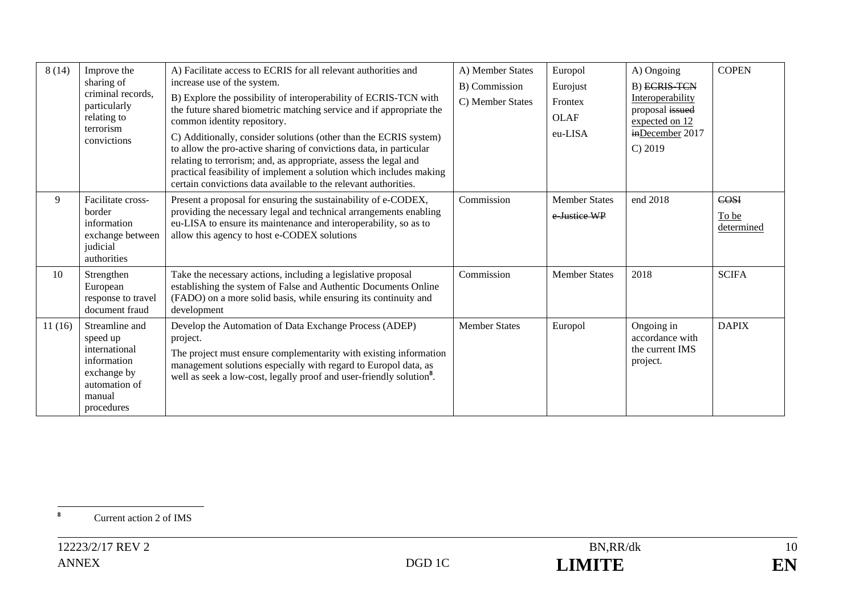| 8(14)  | Improve the<br>sharing of<br>criminal records.<br>particularly<br>relating to<br>terrorism<br>convictions          | A) Facilitate access to ECRIS for all relevant authorities and<br>increase use of the system.<br>B) Explore the possibility of interoperability of ECRIS-TCN with<br>the future shared biometric matching service and if appropriate the<br>common identity repository.<br>C) Additionally, consider solutions (other than the ECRIS system)<br>to allow the pro-active sharing of convictions data, in particular<br>relating to terrorism; and, as appropriate, assess the legal and<br>practical feasibility of implement a solution which includes making<br>certain convictions data available to the relevant authorities. | A) Member States<br>B) Commission<br>C) Member States | Europol<br>Eurojust<br>Frontex<br><b>OLAF</b><br>eu-LISA | A) Ongoing<br><b>B)</b> ECRIS TCN<br>Interoperability<br>proposal issued<br>expected on 12<br>inDecember 2017<br>C) 2019 | <b>COPEN</b>                |
|--------|--------------------------------------------------------------------------------------------------------------------|----------------------------------------------------------------------------------------------------------------------------------------------------------------------------------------------------------------------------------------------------------------------------------------------------------------------------------------------------------------------------------------------------------------------------------------------------------------------------------------------------------------------------------------------------------------------------------------------------------------------------------|-------------------------------------------------------|----------------------------------------------------------|--------------------------------------------------------------------------------------------------------------------------|-----------------------------|
| 9      | Facilitate cross-<br>border<br>information<br>exchange between<br>judicial<br>authorities                          | Present a proposal for ensuring the sustainability of e-CODEX,<br>providing the necessary legal and technical arrangements enabling<br>eu-LISA to ensure its maintenance and interoperability, so as to<br>allow this agency to host e-CODEX solutions                                                                                                                                                                                                                                                                                                                                                                           | Commission                                            | <b>Member States</b><br>e-Justice WP                     | end 2018                                                                                                                 | COSI<br>To be<br>determined |
| 10     | Strengthen<br>European<br>response to travel<br>document fraud                                                     | Take the necessary actions, including a legislative proposal<br>establishing the system of False and Authentic Documents Online<br>(FADO) on a more solid basis, while ensuring its continuity and<br>development                                                                                                                                                                                                                                                                                                                                                                                                                | Commission                                            | <b>Member States</b>                                     | 2018                                                                                                                     | <b>SCIFA</b>                |
| 11(16) | Streamline and<br>speed up<br>international<br>information<br>exchange by<br>automation of<br>manual<br>procedures | Develop the Automation of Data Exchange Process (ADEP)<br>project.<br>The project must ensure complementarity with existing information<br>management solutions especially with regard to Europol data, as<br>well as seek a low-cost, legally proof and user-friendly solution <sup>8</sup> .                                                                                                                                                                                                                                                                                                                                   | <b>Member States</b>                                  | Europol                                                  | Ongoing in<br>accordance with<br>the current IMS<br>project.                                                             | <b>DAPIX</b>                |

**<sup>8</sup>** Current action 2 of IMS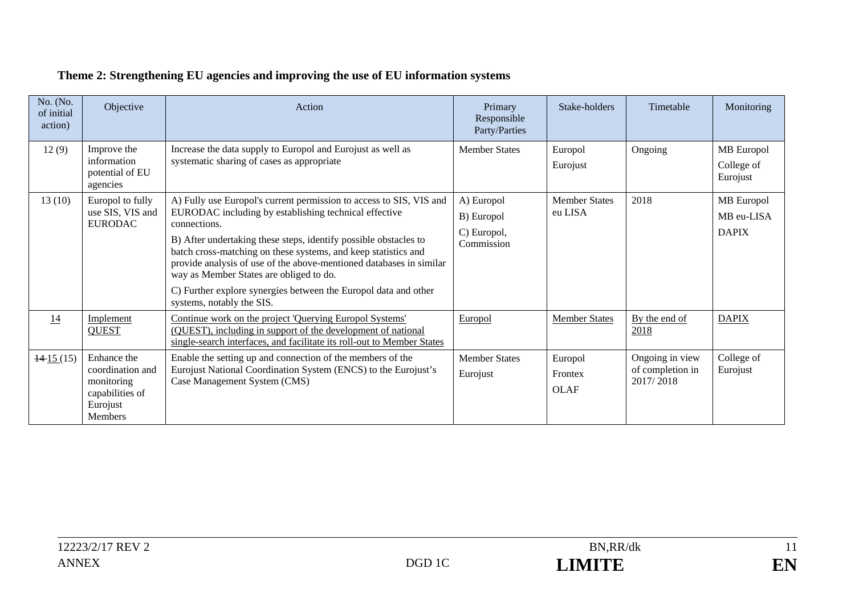| No. (No.<br>of initial<br>action) | Objective                                                                                      | Action                                                                                                                                                                                                                                                                                                                                                                                                                                                                                               | Primary<br>Responsible<br>Party/Parties               | Stake-holders                     | Timetable                                        | Monitoring                               |
|-----------------------------------|------------------------------------------------------------------------------------------------|------------------------------------------------------------------------------------------------------------------------------------------------------------------------------------------------------------------------------------------------------------------------------------------------------------------------------------------------------------------------------------------------------------------------------------------------------------------------------------------------------|-------------------------------------------------------|-----------------------------------|--------------------------------------------------|------------------------------------------|
| 12(9)                             | Improve the<br>information<br>potential of EU<br>agencies                                      | Increase the data supply to Europol and Eurojust as well as<br>systematic sharing of cases as appropriate                                                                                                                                                                                                                                                                                                                                                                                            | <b>Member States</b>                                  | Europol<br>Eurojust               | Ongoing                                          | MB Europol<br>College of<br>Eurojust     |
| 13(10)                            | Europol to fully<br>use SIS, VIS and<br><b>EURODAC</b>                                         | A) Fully use Europol's current permission to access to SIS, VIS and<br>EURODAC including by establishing technical effective<br>connections.<br>B) After undertaking these steps, identify possible obstacles to<br>batch cross-matching on these systems, and keep statistics and<br>provide analysis of use of the above-mentioned databases in similar<br>way as Member States are obliged to do.<br>C) Further explore synergies between the Europol data and other<br>systems, notably the SIS. | A) Europol<br>B) Europol<br>C) Europol,<br>Commission | <b>Member States</b><br>eu LISA   | 2018                                             | MB Europol<br>MB eu-LISA<br><b>DAPIX</b> |
| 14                                | Implement<br><b>QUEST</b>                                                                      | Continue work on the project 'Querying Europol Systems'<br>(QUEST), including in support of the development of national<br>single-search interfaces, and facilitate its roll-out to Member States                                                                                                                                                                                                                                                                                                    | Europol                                               | <b>Member States</b>              | By the end of<br>2018                            | <b>DAPIX</b>                             |
| $\frac{14}{15}(15)$               | Enhance the<br>coordination and<br>monitoring<br>capabilities of<br>Eurojust<br><b>Members</b> | Enable the setting up and connection of the members of the<br>Eurojust National Coordination System (ENCS) to the Eurojust's<br>Case Management System (CMS)                                                                                                                                                                                                                                                                                                                                         | <b>Member States</b><br>Eurojust                      | Europol<br>Frontex<br><b>OLAF</b> | Ongoing in view<br>of completion in<br>2017/2018 | College of<br>Eurojust                   |

# **Theme 2: Strengthening EU agencies and improving the use of EU information systems**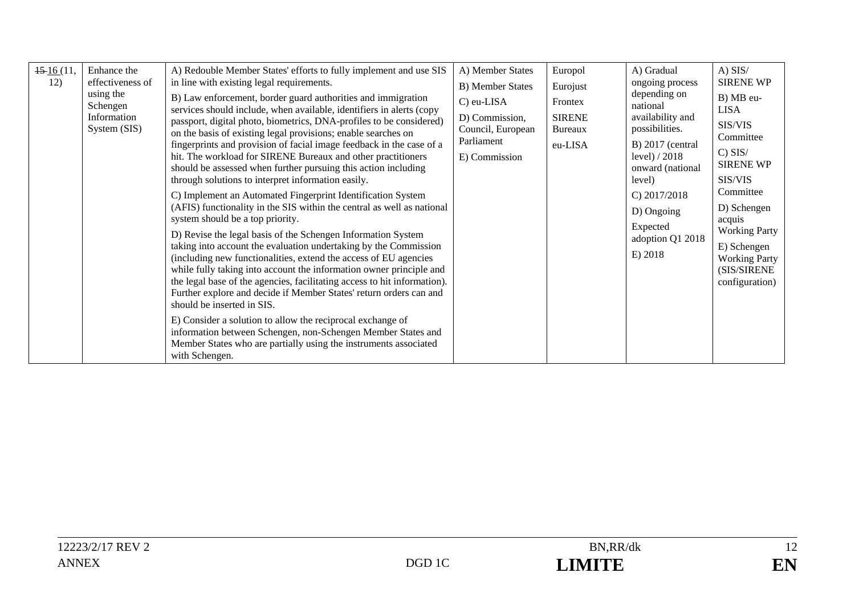| $\frac{15 \cdot 16}{11}$<br>12) | Enhance the<br>effectiveness of<br>using the<br>Schengen<br>Information<br>System (SIS) | A) Redouble Member States' efforts to fully implement and use SIS<br>in line with existing legal requirements.<br>B) Law enforcement, border guard authorities and immigration<br>services should include, when available, identifiers in alerts (copy<br>passport, digital photo, biometrics, DNA-profiles to be considered)<br>on the basis of existing legal provisions; enable searches on<br>fingerprints and provision of facial image feedback in the case of a<br>hit. The workload for SIRENE Bureaux and other practitioners<br>should be assessed when further pursuing this action including<br>through solutions to interpret information easily.<br>C) Implement an Automated Fingerprint Identification System<br>(AFIS) functionality in the SIS within the central as well as national<br>system should be a top priority.<br>D) Revise the legal basis of the Schengen Information System<br>taking into account the evaluation undertaking by the Commission<br>(including new functionalities, extend the access of EU agencies<br>while fully taking into account the information owner principle and<br>the legal base of the agencies, facilitating access to hit information).<br>Further explore and decide if Member States' return orders can and<br>should be inserted in SIS.<br>E) Consider a solution to allow the reciprocal exchange of<br>information between Schengen, non-Schengen Member States and<br>Member States who are partially using the instruments associated<br>with Schengen. | A) Member States<br><b>B</b> ) Member States<br>C) eu-LISA<br>D) Commission,<br>Council, European<br>Parliament<br>E) Commission | Europol<br>Eurojust<br>Frontex<br><b>SIRENE</b><br>Bureaux<br>eu-LISA | A) Gradual<br>ongoing process<br>depending on<br>national<br>availability and<br>possibilities.<br>$B)$ 2017 (central<br>level) $/2018$<br>onward (national<br>level)<br>C) $2017/2018$<br>D) Ongoing<br>Expected<br>adoption Q1 2018<br>E) 2018 | $A)$ SIS/<br><b>SIRENE WP</b><br>B) MB eu-<br><b>LISA</b><br>SIS/VIS<br>Committee<br>$C)$ SIS/<br><b>SIRENE WP</b><br>SIS/VIS<br>Committee<br>D) Schengen<br>acquis<br><b>Working Party</b><br>E) Schengen<br><b>Working Party</b><br>(SIS/SIRENE<br>configuration) |
|---------------------------------|-----------------------------------------------------------------------------------------|--------------------------------------------------------------------------------------------------------------------------------------------------------------------------------------------------------------------------------------------------------------------------------------------------------------------------------------------------------------------------------------------------------------------------------------------------------------------------------------------------------------------------------------------------------------------------------------------------------------------------------------------------------------------------------------------------------------------------------------------------------------------------------------------------------------------------------------------------------------------------------------------------------------------------------------------------------------------------------------------------------------------------------------------------------------------------------------------------------------------------------------------------------------------------------------------------------------------------------------------------------------------------------------------------------------------------------------------------------------------------------------------------------------------------------------------------------------------------------------------------------------------------------|----------------------------------------------------------------------------------------------------------------------------------|-----------------------------------------------------------------------|--------------------------------------------------------------------------------------------------------------------------------------------------------------------------------------------------------------------------------------------------|---------------------------------------------------------------------------------------------------------------------------------------------------------------------------------------------------------------------------------------------------------------------|
|---------------------------------|-----------------------------------------------------------------------------------------|--------------------------------------------------------------------------------------------------------------------------------------------------------------------------------------------------------------------------------------------------------------------------------------------------------------------------------------------------------------------------------------------------------------------------------------------------------------------------------------------------------------------------------------------------------------------------------------------------------------------------------------------------------------------------------------------------------------------------------------------------------------------------------------------------------------------------------------------------------------------------------------------------------------------------------------------------------------------------------------------------------------------------------------------------------------------------------------------------------------------------------------------------------------------------------------------------------------------------------------------------------------------------------------------------------------------------------------------------------------------------------------------------------------------------------------------------------------------------------------------------------------------------------|----------------------------------------------------------------------------------------------------------------------------------|-----------------------------------------------------------------------|--------------------------------------------------------------------------------------------------------------------------------------------------------------------------------------------------------------------------------------------------|---------------------------------------------------------------------------------------------------------------------------------------------------------------------------------------------------------------------------------------------------------------------|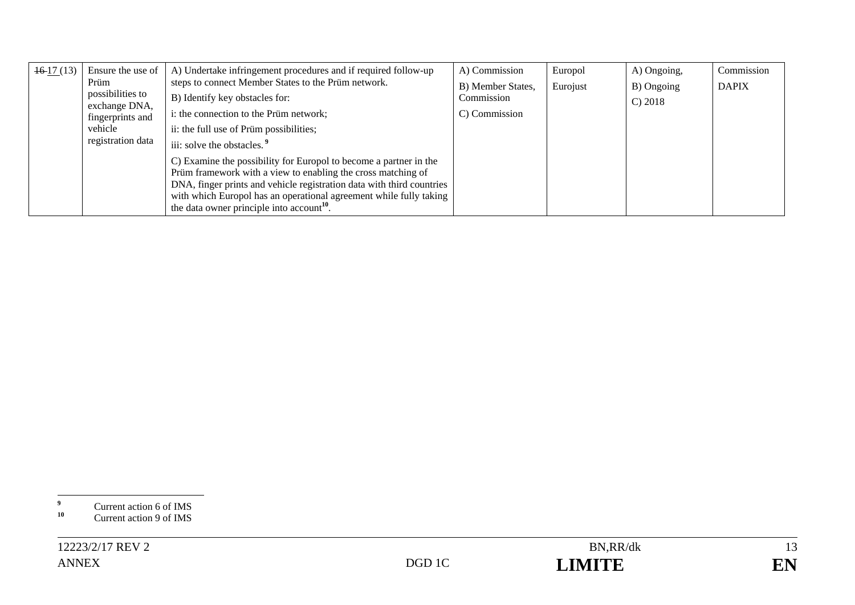| $\pm 6.17(13)$ | Ensure the use of        | A) Undertake infringement procedures and if required follow-up                                                                        | A) Commission     | Europol  | A) Ongoing, | Commission   |
|----------------|--------------------------|---------------------------------------------------------------------------------------------------------------------------------------|-------------------|----------|-------------|--------------|
|                | Prüm<br>possibilities to | steps to connect Member States to the Prüm network.                                                                                   | B) Member States, | Eurojust | B) Ongoing  | <b>DAPIX</b> |
|                | exchange DNA,            | B) Identify key obstacles for:                                                                                                        | Commission        |          | C) 2018     |              |
|                | fingerprints and         | i: the connection to the Prüm network;                                                                                                | C) Commission     |          |             |              |
|                | vehicle                  | ii: the full use of Prüm possibilities;                                                                                               |                   |          |             |              |
|                | registration data        | iii: solve the obstacles. <sup>9</sup>                                                                                                |                   |          |             |              |
|                |                          | C) Examine the possibility for Europol to become a partner in the                                                                     |                   |          |             |              |
|                |                          | Prüm framework with a view to enabling the cross matching of<br>DNA, finger prints and vehicle registration data with third countries |                   |          |             |              |
|                |                          | with which Europol has an operational agreement while fully taking                                                                    |                   |          |             |              |
|                |                          | the data owner principle into account <sup>10</sup> .                                                                                 |                   |          |             |              |

<sup>&</sup>lt;sup>9</sup> Current action 6 of IMS

<sup>&</sup>lt;sup>10</sup> Current action 9 of IMS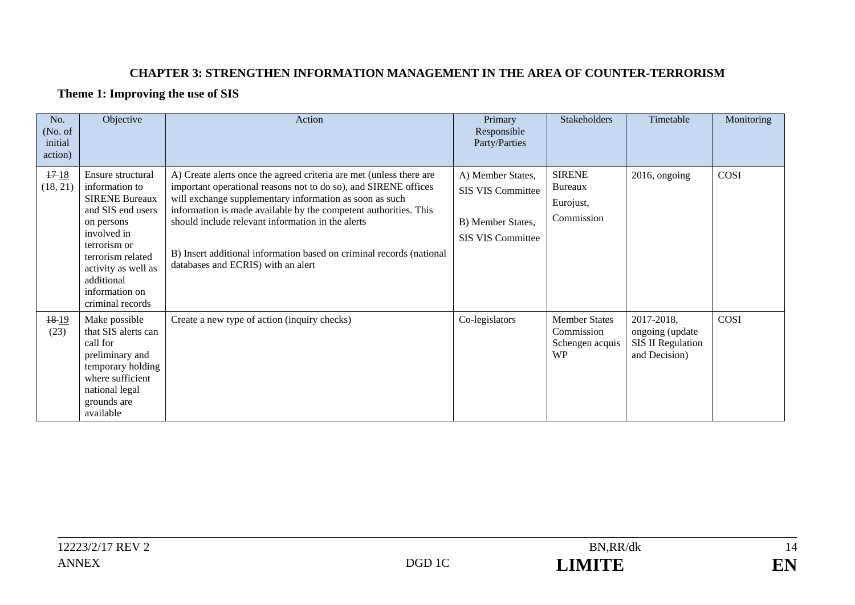#### **CHAPTER 3: STRENGTHEN INFORMATION MANAGEMENT IN THE AREA OF COUNTER-TERRORISM**

#### **Theme 1: Improving the use of SIS**

| No.<br>(No. of<br>initial<br>action) | Objective                                                                                                                                                                                                                      | Action                                                                                                                                                                                                                                                                                                                                                                                                                                   | Primary<br>Responsible<br>Party/Parties                                                        | Stakeholders                                                       | Timetable                                                                  | Monitoring |
|--------------------------------------|--------------------------------------------------------------------------------------------------------------------------------------------------------------------------------------------------------------------------------|------------------------------------------------------------------------------------------------------------------------------------------------------------------------------------------------------------------------------------------------------------------------------------------------------------------------------------------------------------------------------------------------------------------------------------------|------------------------------------------------------------------------------------------------|--------------------------------------------------------------------|----------------------------------------------------------------------------|------------|
| 1718<br>(18, 21)                     | Ensure structural<br>information to<br><b>SIRENE Bureaux</b><br>and SIS end users<br>on persons<br>involved in<br>terrorism or<br>terrorism related<br>activity as well as<br>additional<br>information on<br>criminal records | A) Create alerts once the agreed criteria are met (unless there are<br>important operational reasons not to do so), and SIRENE offices<br>will exchange supplementary information as soon as such<br>information is made available by the competent authorities. This<br>should include relevant information in the alerts<br>B) Insert additional information based on criminal records (national<br>databases and ECRIS) with an alert | A) Member States,<br><b>SIS VIS Committee</b><br>B) Member States,<br><b>SIS VIS Committee</b> | <b>SIRENE</b><br><b>Bureaux</b><br>Eurojust,<br>Commission         | 2016, ongoing                                                              | COSI       |
| 18-19<br>(23)                        | Make possible<br>that SIS alerts can<br>call for<br>preliminary and<br>temporary holding<br>where sufficient<br>national legal<br>grounds are<br>available                                                                     | Create a new type of action (inquiry checks)                                                                                                                                                                                                                                                                                                                                                                                             | Co-legislators                                                                                 | <b>Member States</b><br>Commission<br>Schengen acquis<br><b>WP</b> | 2017-2018,<br>ongoing (update<br><b>SIS II Regulation</b><br>and Decision) | COSI       |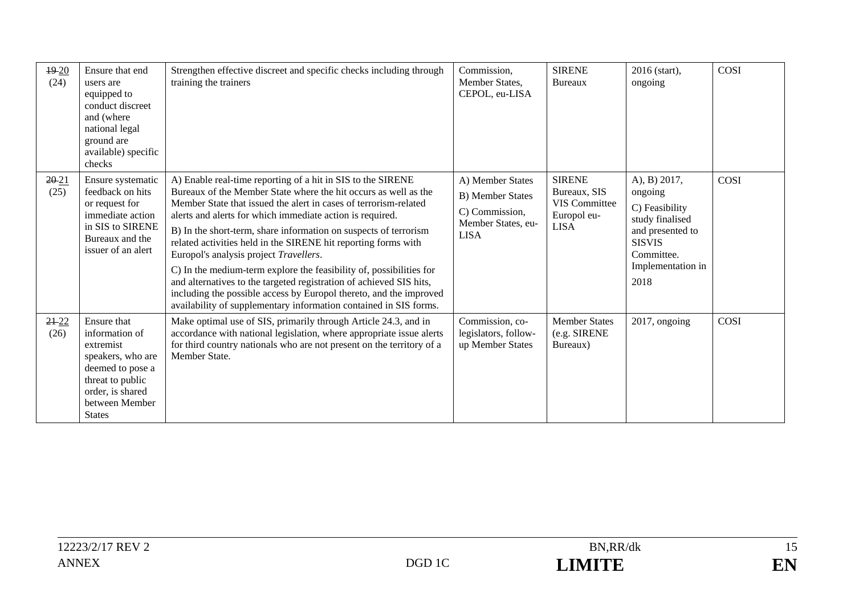| $19-20$<br>(24)   | Ensure that end<br>users are<br>equipped to<br>conduct discreet<br>and (where<br>national legal<br>ground are<br>available) specific<br>checks                 | Strengthen effective discreet and specific checks including through<br>training the trainers                                                                                                                                                                                                                                                                                                                                                                                                                                                                                                                                                                                                                                             | Commission,<br>Member States,<br>CEPOL, eu-LISA                                                    | <b>SIRENE</b><br>Bureaux                                                            | 2016 (start),<br>ongoing                                                                                                                     | <b>COSI</b> |
|-------------------|----------------------------------------------------------------------------------------------------------------------------------------------------------------|------------------------------------------------------------------------------------------------------------------------------------------------------------------------------------------------------------------------------------------------------------------------------------------------------------------------------------------------------------------------------------------------------------------------------------------------------------------------------------------------------------------------------------------------------------------------------------------------------------------------------------------------------------------------------------------------------------------------------------------|----------------------------------------------------------------------------------------------------|-------------------------------------------------------------------------------------|----------------------------------------------------------------------------------------------------------------------------------------------|-------------|
| 2021<br>(25)      | Ensure systematic<br>feedback on hits<br>or request for<br>immediate action<br>in SIS to SIRENE<br>Bureaux and the<br>issuer of an alert                       | A) Enable real-time reporting of a hit in SIS to the SIRENE<br>Bureaux of the Member State where the hit occurs as well as the<br>Member State that issued the alert in cases of terrorism-related<br>alerts and alerts for which immediate action is required.<br>B) In the short-term, share information on suspects of terrorism<br>related activities held in the SIRENE hit reporting forms with<br>Europol's analysis project Travellers.<br>C) In the medium-term explore the feasibility of, possibilities for<br>and alternatives to the targeted registration of achieved SIS hits,<br>including the possible access by Europol thereto, and the improved<br>availability of supplementary information contained in SIS forms. | A) Member States<br><b>B)</b> Member States<br>C) Commission,<br>Member States, eu-<br><b>LISA</b> | <b>SIRENE</b><br>Bureaux, SIS<br><b>VIS Committee</b><br>Europol eu-<br><b>LISA</b> | A), B) 2017,<br>ongoing<br>C) Feasibility<br>study finalised<br>and presented to<br><b>SISVIS</b><br>Committee.<br>Implementation in<br>2018 | COSI        |
| $21 - 22$<br>(26) | Ensure that<br>information of<br>extremist<br>speakers, who are<br>deemed to pose a<br>threat to public<br>order, is shared<br>between Member<br><b>States</b> | Make optimal use of SIS, primarily through Article 24.3, and in<br>accordance with national legislation, where appropriate issue alerts<br>for third country nationals who are not present on the territory of a<br>Member State.                                                                                                                                                                                                                                                                                                                                                                                                                                                                                                        | Commission, co-<br>legislators, follow-<br>up Member States                                        | <b>Member States</b><br>(e.g. SIRENE<br>Bureaux)                                    | 2017, ongoing                                                                                                                                | <b>COSI</b> |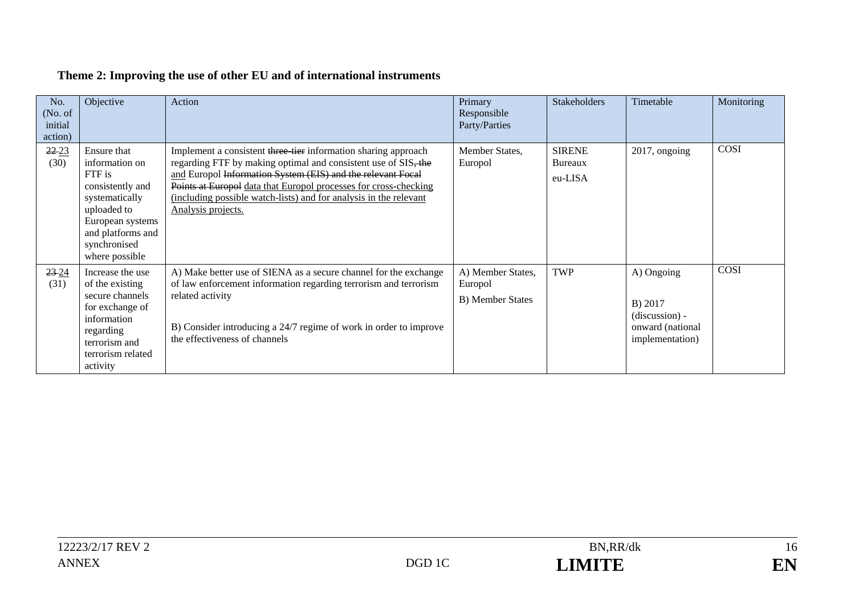| No.<br>(No. of<br>initial<br>action) | Objective                                                                                                                                                               | Action                                                                                                                                                                                                                                                                                                                                                         | Primary<br>Responsible<br>Party/Parties                 | <b>Stakeholders</b>                 | Timetable                                                                        | Monitoring |
|--------------------------------------|-------------------------------------------------------------------------------------------------------------------------------------------------------------------------|----------------------------------------------------------------------------------------------------------------------------------------------------------------------------------------------------------------------------------------------------------------------------------------------------------------------------------------------------------------|---------------------------------------------------------|-------------------------------------|----------------------------------------------------------------------------------|------------|
| $22 - 23$<br>(30)                    | Ensure that<br>information on<br>FTF is<br>consistently and<br>systematically<br>uploaded to<br>European systems<br>and platforms and<br>synchronised<br>where possible | Implement a consistent three tier information sharing approach<br>regarding FTF by making optimal and consistent use of SIS, the<br>and Europol Information System (EIS) and the relevant Focal<br>Points at Europol data that Europol processes for cross-checking<br>(including possible watch-lists) and for analysis in the relevant<br>Analysis projects. | Member States,<br>Europol                               | <b>SIRENE</b><br>Bureaux<br>eu-LISA | 2017, ongoing                                                                    | COSI       |
| $23 - 24$<br>(31)                    | Increase the use<br>of the existing<br>secure channels<br>for exchange of<br>information<br>regarding<br>terrorism and<br>terrorism related<br>activity                 | A) Make better use of SIENA as a secure channel for the exchange<br>of law enforcement information regarding terrorism and terrorism<br>related activity<br>B) Consider introducing a 24/7 regime of work in order to improve<br>the effectiveness of channels                                                                                                 | A) Member States,<br>Europol<br><b>B)</b> Member States | <b>TWP</b>                          | A) Ongoing<br>B) 2017<br>$(discussion) -$<br>onward (national<br>implementation) | COSI       |

# **Theme 2: Improving the use of other EU and of international instruments**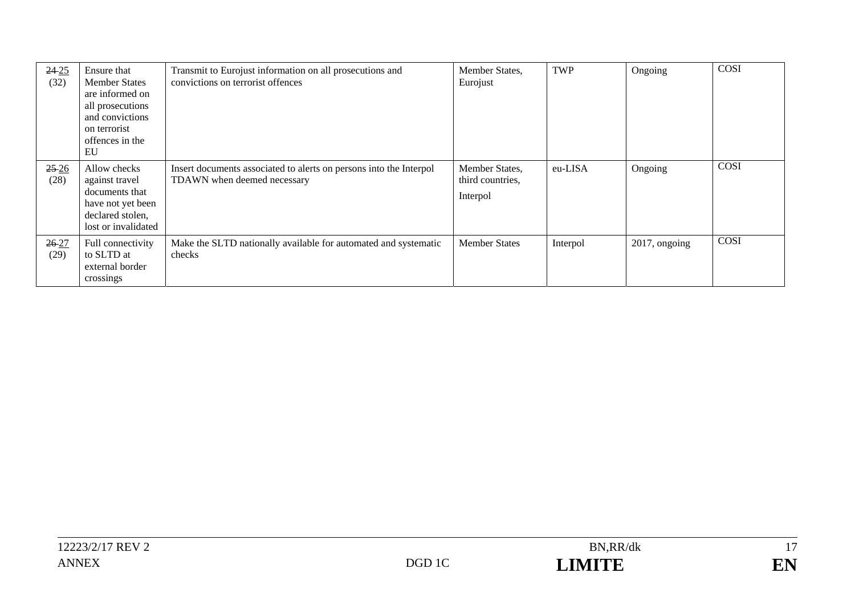| $24 - 25$<br>(32) | Ensure that<br><b>Member States</b><br>are informed on<br>all prosecutions<br>and convictions<br>on terrorist<br>offences in the<br>EU | Transmit to Eurojust information on all prosecutions and<br>convictions on terrorist offences     | Member States,<br>Eurojust                     | TWP      | Ongoing          | COSI |
|-------------------|----------------------------------------------------------------------------------------------------------------------------------------|---------------------------------------------------------------------------------------------------|------------------------------------------------|----------|------------------|------|
| $25-26$<br>(28)   | Allow checks<br>against travel<br>documents that<br>have not yet been<br>declared stolen,<br>lost or invalidated                       | Insert documents associated to alerts on persons into the Interpol<br>TDAWN when deemed necessary | Member States,<br>third countries,<br>Interpol | eu-LISA  | Ongoing          | COSI |
| $26 - 27$<br>(29) | Full connectivity<br>to SLTD at<br>external border<br>crossings                                                                        | Make the SLTD nationally available for automated and systematic<br>checks                         | <b>Member States</b>                           | Interpol | $2017$ , ongoing | COSI |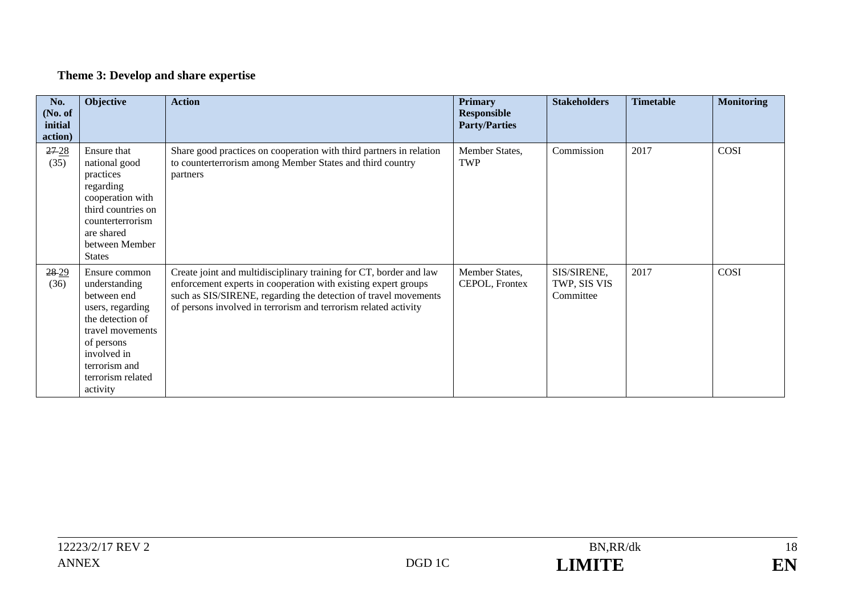# **Theme 3: Develop and share expertise**

| No.<br>(No. of<br>initial<br>action) | Objective                                                                                                                                                                                | <b>Action</b>                                                                                                                                                                                                                                                              | <b>Primary</b><br><b>Responsible</b><br><b>Party/Parties</b> | <b>Stakeholders</b>                      | <b>Timetable</b> | <b>Monitoring</b> |
|--------------------------------------|------------------------------------------------------------------------------------------------------------------------------------------------------------------------------------------|----------------------------------------------------------------------------------------------------------------------------------------------------------------------------------------------------------------------------------------------------------------------------|--------------------------------------------------------------|------------------------------------------|------------------|-------------------|
| $27 - 28$<br>(35)                    | Ensure that<br>national good<br>practices<br>regarding<br>cooperation with<br>third countries on<br>counterterrorism<br>are shared<br>between Member<br><b>States</b>                    | Share good practices on cooperation with third partners in relation<br>to counterterrorism among Member States and third country<br>partners                                                                                                                               | Member States,<br><b>TWP</b>                                 | Commission                               | 2017             | <b>COSI</b>       |
| $28 - 29$<br>(36)                    | Ensure common<br>understanding<br>between end<br>users, regarding<br>the detection of<br>travel movements<br>of persons<br>involved in<br>terrorism and<br>terrorism related<br>activity | Create joint and multidisciplinary training for CT, border and law<br>enforcement experts in cooperation with existing expert groups<br>such as SIS/SIRENE, regarding the detection of travel movements<br>of persons involved in terrorism and terrorism related activity | Member States,<br>CEPOL, Frontex                             | SIS/SIRENE,<br>TWP, SIS VIS<br>Committee | 2017             | <b>COSI</b>       |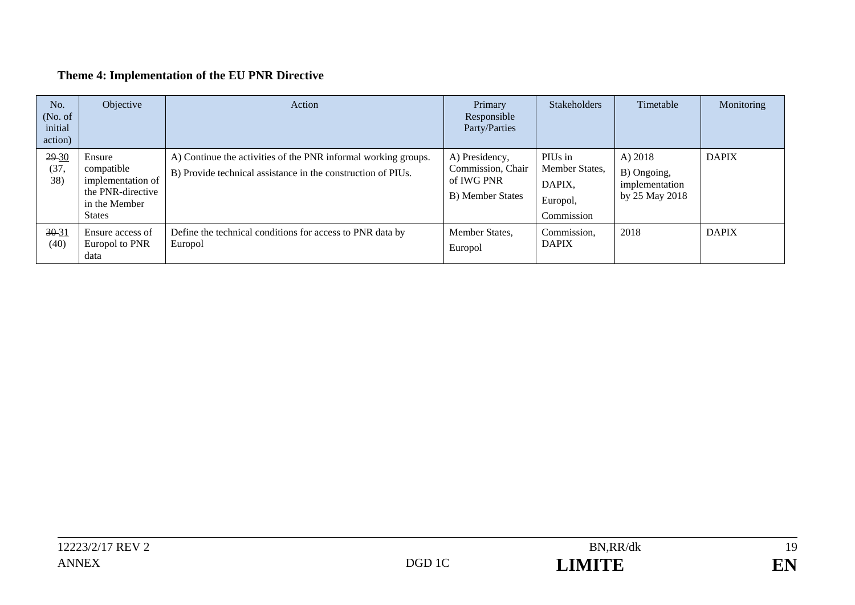# **Theme 4: Implementation of the EU PNR Directive**

| No.<br>(No. of)<br>initial<br>action) | Objective                                                                                        | Action                                                                                                                         | Primary<br>Responsible<br>Party/Parties                               | <b>Stakeholders</b>                                           | Timetable                                                    | Monitoring   |
|---------------------------------------|--------------------------------------------------------------------------------------------------|--------------------------------------------------------------------------------------------------------------------------------|-----------------------------------------------------------------------|---------------------------------------------------------------|--------------------------------------------------------------|--------------|
| $29 - 30$<br>(37,<br>38)              | Ensure<br>compatible<br>implementation of<br>the PNR-directive<br>in the Member<br><b>States</b> | A) Continue the activities of the PNR informal working groups.<br>B) Provide technical assistance in the construction of PIUs. | A) Presidency,<br>Commission, Chair<br>of IWG PNR<br>B) Member States | PIUs in<br>Member States,<br>DAPIX,<br>Europol,<br>Commission | A) $2018$<br>B) Ongoing,<br>implementation<br>by 25 May 2018 | <b>DAPIX</b> |
| $30 - 31$<br>(40)                     | Ensure access of<br>Europol to PNR<br>data                                                       | Define the technical conditions for access to PNR data by<br>Europol                                                           | Member States,<br>Europol                                             | Commission,<br><b>DAPIX</b>                                   | 2018                                                         | <b>DAPIX</b> |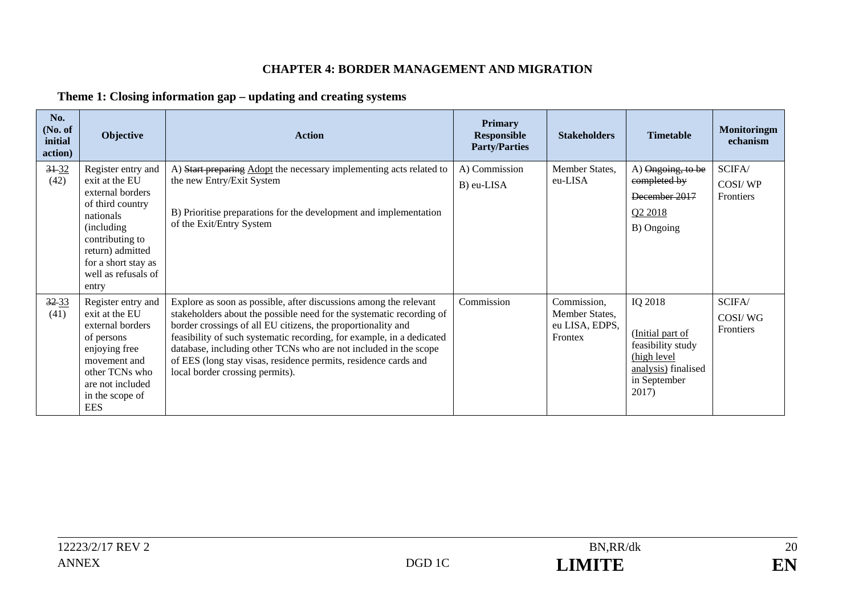#### **CHAPTER 4: BORDER MANAGEMENT AND MIGRATION**

### **Theme 1: Closing information gap – updating and creating systems**

| No.<br>(No. of<br>initial<br>action) | Objective                                                                                                                                                                                              | <b>Action</b>                                                                                                                                                                                                                                                                                                                                                                                                                                                | <b>Primary</b><br><b>Responsible</b><br><b>Party/Parties</b> | <b>Stakeholders</b>                                        | <b>Timetable</b>                                                                                                | <b>Monitoringm</b><br>echanism |
|--------------------------------------|--------------------------------------------------------------------------------------------------------------------------------------------------------------------------------------------------------|--------------------------------------------------------------------------------------------------------------------------------------------------------------------------------------------------------------------------------------------------------------------------------------------------------------------------------------------------------------------------------------------------------------------------------------------------------------|--------------------------------------------------------------|------------------------------------------------------------|-----------------------------------------------------------------------------------------------------------------|--------------------------------|
| $3 + 32$<br>(42)                     | Register entry and<br>exit at the EU<br>external borders<br>of third country<br>nationals<br>(including)<br>contributing to<br>return) admitted<br>for a short stay as<br>well as refusals of<br>entry | A) Start preparing Adopt the necessary implementing acts related to<br>the new Entry/Exit System<br>B) Prioritise preparations for the development and implementation<br>of the Exit/Entry System                                                                                                                                                                                                                                                            | A) Commission<br>B) eu-LISA                                  | Member States,<br>eu-LISA                                  | A) Ongoing, to be<br>completed by<br>December 2017<br>Q2 2018<br>B) Ongoing                                     | SCIFA/<br>COSI/WP<br>Frontiers |
| $32 - 33$<br>(41)                    | Register entry and<br>exit at the EU<br>external borders<br>of persons<br>enjoying free<br>movement and<br>other TCNs who<br>are not included<br>in the scope of<br><b>EES</b>                         | Explore as soon as possible, after discussions among the relevant<br>stakeholders about the possible need for the systematic recording of<br>border crossings of all EU citizens, the proportionality and<br>feasibility of such systematic recording, for example, in a dedicated<br>database, including other TCNs who are not included in the scope<br>of EES (long stay visas, residence permits, residence cards and<br>local border crossing permits). | Commission                                                   | Commission,<br>Member States,<br>eu LISA, EDPS,<br>Frontex | IQ 2018<br>(Initial part of<br>feasibility study<br>(high level<br>analysis) finalised<br>in September<br>2017) | SCIFA/<br>COSI/WG<br>Frontiers |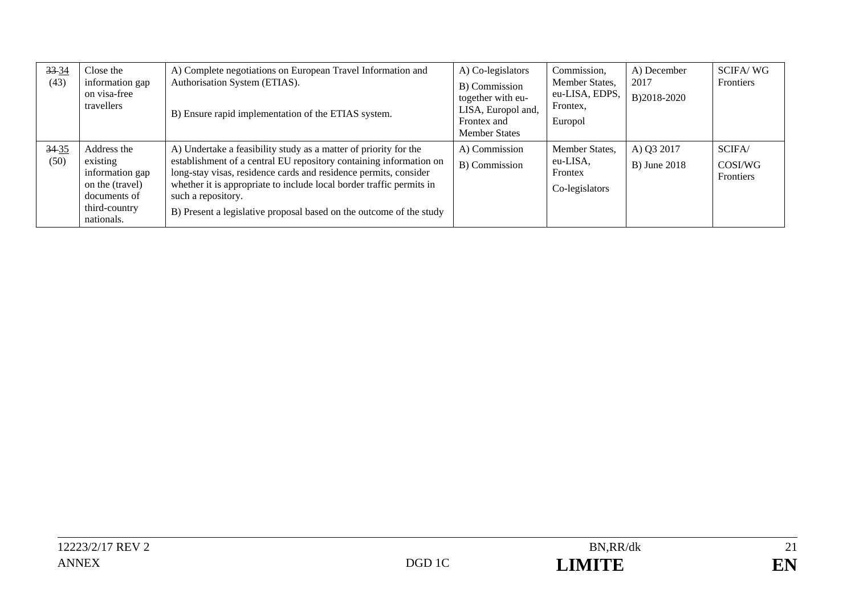| 33 34<br>(43) | Close the<br>information gap<br>on visa-free<br>travellers                                                   | A) Complete negotiations on European Travel Information and<br>Authorisation System (ETIAS).<br>B) Ensure rapid implementation of the ETIAS system.                                                                                                                                                                                                                             | A) Co-legislators<br>B) Commission<br>together with eu-<br>LISA, Europol and,<br>Frontex and<br><b>Member States</b> | Commission,<br>Member States,<br>eu-LISA, EDPS,<br>Frontex,<br>Europol | A) December<br>2017<br>B)2018-2020 | <b>SCIFA/WG</b><br>Frontiers   |
|---------------|--------------------------------------------------------------------------------------------------------------|---------------------------------------------------------------------------------------------------------------------------------------------------------------------------------------------------------------------------------------------------------------------------------------------------------------------------------------------------------------------------------|----------------------------------------------------------------------------------------------------------------------|------------------------------------------------------------------------|------------------------------------|--------------------------------|
| 3435<br>(50)  | Address the<br>existing<br>information gap<br>on the (travel)<br>documents of<br>third-country<br>nationals. | A) Undertake a feasibility study as a matter of priority for the<br>establishment of a central EU repository containing information on<br>long-stay visas, residence cards and residence permits, consider<br>whether it is appropriate to include local border traffic permits in<br>such a repository.<br>B) Present a legislative proposal based on the outcome of the study | A) Commission<br>B) Commission                                                                                       | Member States.<br>eu-LISA,<br>Frontex<br>Co-legislators                | A) Q3 2017<br><b>B</b> ) June 2018 | SCIFA/<br>COSI/WG<br>Frontiers |

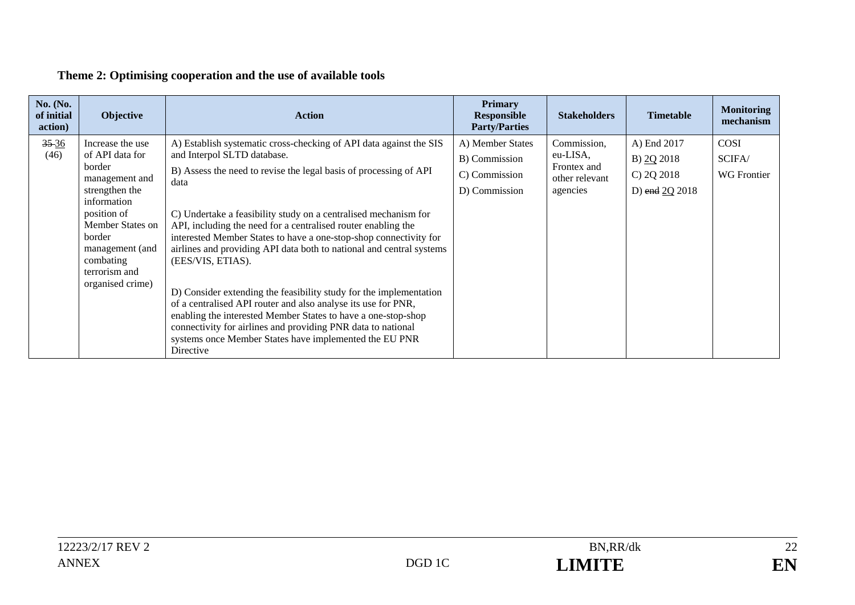### **Theme 2: Optimising cooperation and the use of available tools**

| No. (No.<br>of initial<br>action) | <b>Objective</b>                                                                                                                                                                                                   | <b>Action</b>                                                                                                                                                                                                                                                                                                                                                                                                                                                                                                                                                                                                                                                                                                                                                                                                                       | <b>Primary</b><br><b>Responsible</b><br><b>Party/Parties</b>        | <b>Stakeholders</b>                                                  | <b>Timetable</b>                                          | <b>Monitoring</b><br>mechanism       |
|-----------------------------------|--------------------------------------------------------------------------------------------------------------------------------------------------------------------------------------------------------------------|-------------------------------------------------------------------------------------------------------------------------------------------------------------------------------------------------------------------------------------------------------------------------------------------------------------------------------------------------------------------------------------------------------------------------------------------------------------------------------------------------------------------------------------------------------------------------------------------------------------------------------------------------------------------------------------------------------------------------------------------------------------------------------------------------------------------------------------|---------------------------------------------------------------------|----------------------------------------------------------------------|-----------------------------------------------------------|--------------------------------------|
| $35 - 36$<br>(46)                 | Increase the use<br>of API data for<br>border<br>management and<br>strengthen the<br>information<br>position of<br>Member States on<br>border<br>management (and<br>combating<br>terrorism and<br>organised crime) | A) Establish systematic cross-checking of API data against the SIS<br>and Interpol SLTD database.<br>B) Assess the need to revise the legal basis of processing of API<br>data<br>C) Undertake a feasibility study on a centralised mechanism for<br>API, including the need for a centralised router enabling the<br>interested Member States to have a one-stop-shop connectivity for<br>airlines and providing API data both to national and central systems<br>(EES/VIS, ETIAS).<br>D) Consider extending the feasibility study for the implementation<br>of a centralised API router and also analyse its use for PNR,<br>enabling the interested Member States to have a one-stop-shop<br>connectivity for airlines and providing PNR data to national<br>systems once Member States have implemented the EU PNR<br>Directive | A) Member States<br>B) Commission<br>C) Commission<br>D) Commission | Commission,<br>eu-LISA,<br>Frontex and<br>other relevant<br>agencies | A) End 2017<br>B) 20 2018<br>C) 2Q 2018<br>D) end 2Q 2018 | COSI<br>SCIFA/<br><b>WG</b> Frontier |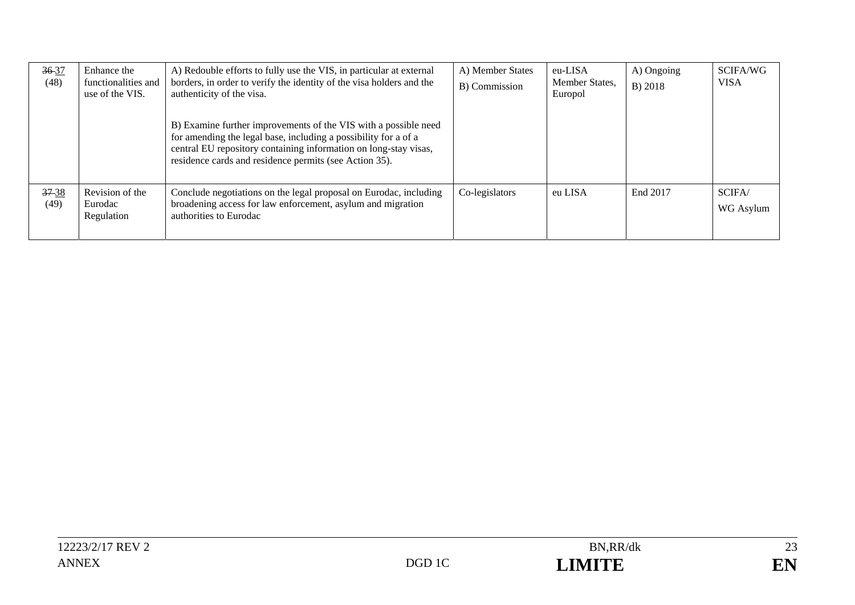| 36-37<br>(48)     | Enhance the<br>functionalities and<br>use of the VIS. | A) Redouble efforts to fully use the VIS, in particular at external<br>borders, in order to verify the identity of the visa holders and the<br>authenticity of the visa.                                                                                         | A) Member States<br>B) Commission | eu-LISA<br>Member States,<br>Europol | A) Ongoing<br>B) 2018 | SCIFA/WG<br><b>VISA</b> |
|-------------------|-------------------------------------------------------|------------------------------------------------------------------------------------------------------------------------------------------------------------------------------------------------------------------------------------------------------------------|-----------------------------------|--------------------------------------|-----------------------|-------------------------|
|                   |                                                       | B) Examine further improvements of the VIS with a possible need<br>for amending the legal base, including a possibility for a of a<br>central EU repository containing information on long-stay visas,<br>residence cards and residence permits (see Action 35). |                                   |                                      |                       |                         |
| $37 - 38$<br>(49) | Revision of the<br>Eurodac<br>Regulation              | Conclude negotiations on the legal proposal on Eurodac, including<br>broadening access for law enforcement, asylum and migration<br>authorities to Eurodac                                                                                                       | Co-legislators                    | eu LISA                              | End 2017              | SCIFA/<br>WG Asylum     |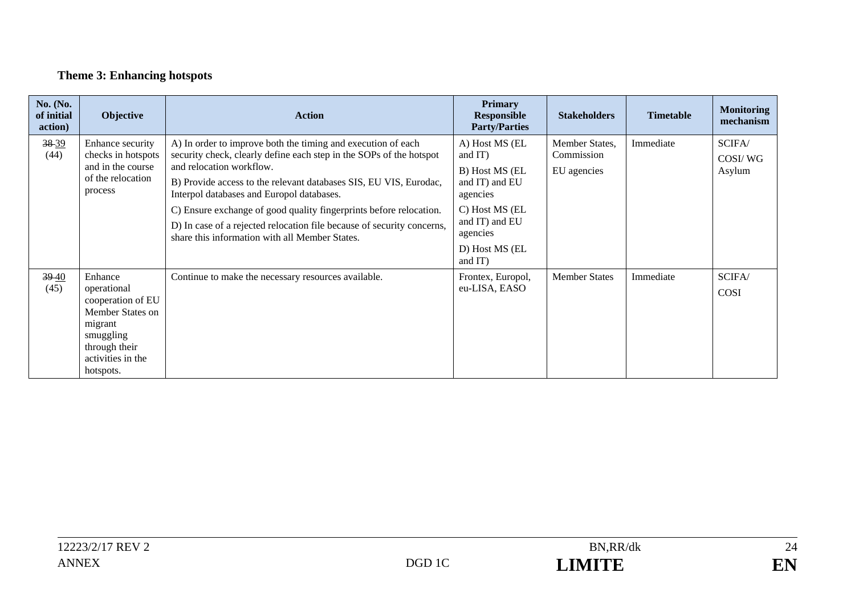# **Theme 3: Enhancing hotspots**

| <b>No.</b> (No.<br>of initial<br>action) | <b>Objective</b>                                                                                                                           | <b>Action</b>                                                                                                                                                                                                                                                                                                                                                                                                                                                                       | <b>Primary</b><br><b>Responsible</b><br><b>Party/Parties</b>                                                                                           | <b>Stakeholders</b>                         | <b>Timetable</b> | <b>Monitoring</b><br>mechanism |
|------------------------------------------|--------------------------------------------------------------------------------------------------------------------------------------------|-------------------------------------------------------------------------------------------------------------------------------------------------------------------------------------------------------------------------------------------------------------------------------------------------------------------------------------------------------------------------------------------------------------------------------------------------------------------------------------|--------------------------------------------------------------------------------------------------------------------------------------------------------|---------------------------------------------|------------------|--------------------------------|
| 38 39<br>(44)                            | Enhance security<br>checks in hotspots<br>and in the course<br>of the relocation<br>process                                                | A) In order to improve both the timing and execution of each<br>security check, clearly define each step in the SOPs of the hotspot<br>and relocation workflow.<br>B) Provide access to the relevant databases SIS, EU VIS, Eurodac,<br>Interpol databases and Europol databases.<br>C) Ensure exchange of good quality fingerprints before relocation.<br>D) In case of a rejected relocation file because of security concerns,<br>share this information with all Member States. | A) Host MS (EL<br>and IT)<br>B) Host MS (EL<br>and IT) and EU<br>agencies<br>C) Host MS (EL<br>and IT) and EU<br>agencies<br>D) Host MS (EL<br>and IT) | Member States,<br>Commission<br>EU agencies | Immediate        | SCIFA/<br>COSI/WG<br>Asylum    |
| 3940<br>(45)                             | Enhance<br>operational<br>cooperation of EU<br>Member States on<br>migrant<br>smuggling<br>through their<br>activities in the<br>hotspots. | Continue to make the necessary resources available.                                                                                                                                                                                                                                                                                                                                                                                                                                 | Frontex, Europol,<br>eu-LISA, EASO                                                                                                                     | <b>Member States</b>                        | Immediate        | SCIFA/<br>COSI                 |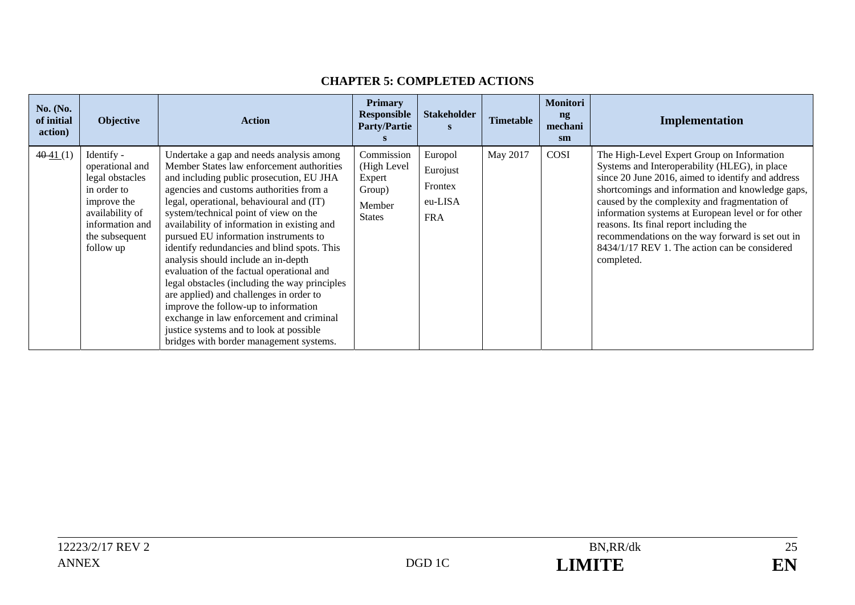| <b>No.</b> (No.<br>of initial<br>action) | <b>Objective</b>                                                                                                                                    | <b>Action</b>                                                                                                                                                                                                                                                                                                                                                                                                                                                                                                                                                                                                                                                                                                                                                      | <b>Primary</b><br><b>Responsible</b><br><b>Party/Partie</b>              | <b>Stakeholder</b>                                      | <b>Timetable</b> | <b>Monitori</b><br>$\mathbf{ng}$<br>mechani<br>sm | Implementation                                                                                                                                                                                                                                                                                                                                                                                                                                                            |
|------------------------------------------|-----------------------------------------------------------------------------------------------------------------------------------------------------|--------------------------------------------------------------------------------------------------------------------------------------------------------------------------------------------------------------------------------------------------------------------------------------------------------------------------------------------------------------------------------------------------------------------------------------------------------------------------------------------------------------------------------------------------------------------------------------------------------------------------------------------------------------------------------------------------------------------------------------------------------------------|--------------------------------------------------------------------------|---------------------------------------------------------|------------------|---------------------------------------------------|---------------------------------------------------------------------------------------------------------------------------------------------------------------------------------------------------------------------------------------------------------------------------------------------------------------------------------------------------------------------------------------------------------------------------------------------------------------------------|
| 4041(1)                                  | Identify -<br>operational and<br>legal obstacles<br>in order to<br>improve the<br>availability of<br>information and<br>the subsequent<br>follow up | Undertake a gap and needs analysis among<br>Member States law enforcement authorities<br>and including public prosecution, EU JHA<br>agencies and customs authorities from a<br>legal, operational, behavioural and (IT)<br>system/technical point of view on the<br>availability of information in existing and<br>pursued EU information instruments to<br>identify redundancies and blind spots. This<br>analysis should include an in-depth<br>evaluation of the factual operational and<br>legal obstacles (including the way principles<br>are applied) and challenges in order to<br>improve the follow-up to information<br>exchange in law enforcement and criminal<br>justice systems and to look at possible<br>bridges with border management systems. | Commission<br>(High Level<br>Expert<br>Group)<br>Member<br><b>States</b> | Europol<br>Eurojust<br>Frontex<br>eu-LISA<br><b>FRA</b> | May 2017         | COSI                                              | The High-Level Expert Group on Information<br>Systems and Interoperability (HLEG), in place<br>since 20 June 2016, aimed to identify and address<br>shortcomings and information and knowledge gaps,<br>caused by the complexity and fragmentation of<br>information systems at European level or for other<br>reasons. Its final report including the<br>recommendations on the way forward is set out in<br>8434/1/17 REV 1. The action can be considered<br>completed. |

#### **CHAPTER 5: COMPLETED ACTIONS**

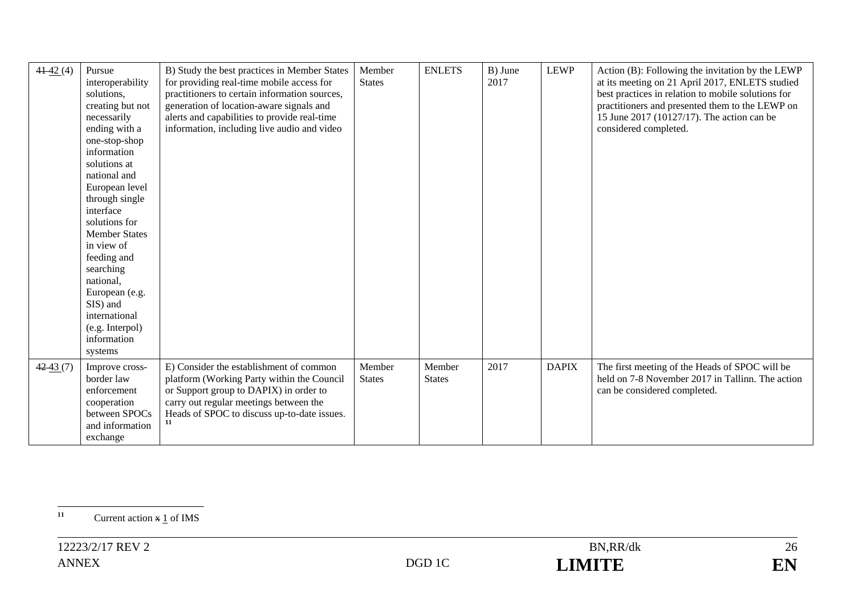| 4142(4)    | Pursue<br>interoperability<br>solutions,<br>creating but not<br>necessarily<br>ending with a<br>one-stop-shop<br>information<br>solutions at<br>national and<br>European level<br>through single<br>interface<br>solutions for<br><b>Member States</b><br>in view of<br>feeding and<br>searching<br>national,<br>European (e.g.<br>SIS) and<br>international<br>(e.g. Interpol)<br>information<br>systems | B) Study the best practices in Member States<br>for providing real-time mobile access for<br>practitioners to certain information sources,<br>generation of location-aware signals and<br>alerts and capabilities to provide real-time<br>information, including live audio and video | Member<br><b>States</b> | <b>ENLETS</b>           | B) June<br>2017 | <b>LEWP</b>  | Action (B): Following the invitation by the LEWP<br>at its meeting on 21 April 2017, ENLETS studied<br>best practices in relation to mobile solutions for<br>practitioners and presented them to the LEWP on<br>15 June 2017 (10127/17). The action can be<br>considered completed. |
|------------|-----------------------------------------------------------------------------------------------------------------------------------------------------------------------------------------------------------------------------------------------------------------------------------------------------------------------------------------------------------------------------------------------------------|---------------------------------------------------------------------------------------------------------------------------------------------------------------------------------------------------------------------------------------------------------------------------------------|-------------------------|-------------------------|-----------------|--------------|-------------------------------------------------------------------------------------------------------------------------------------------------------------------------------------------------------------------------------------------------------------------------------------|
| $42-43(7)$ | Improve cross-<br>border law<br>enforcement<br>cooperation<br>between SPOCs<br>and information<br>exchange                                                                                                                                                                                                                                                                                                | E) Consider the establishment of common<br>platform (Working Party within the Council<br>or Support group to DAPIX) in order to<br>carry out regular meetings between the<br>Heads of SPOC to discuss up-to-date issues.                                                              | Member<br><b>States</b> | Member<br><b>States</b> | 2017            | <b>DAPIX</b> | The first meeting of the Heads of SPOC will be<br>held on 7-8 November 2017 in Tallinn. The action<br>can be considered completed.                                                                                                                                                  |

<sup>&</sup>lt;sup>11</sup> Current action  $\frac{x}{1}$  of IMS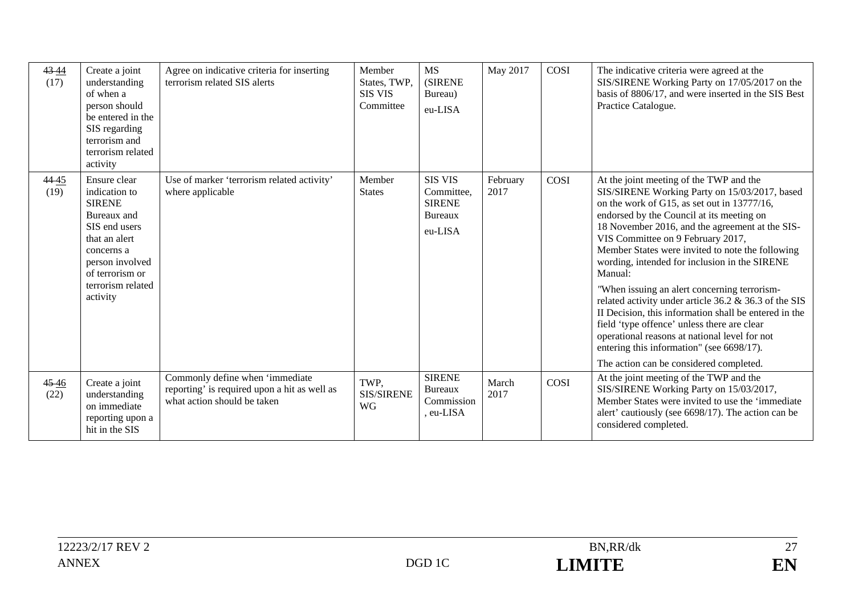| 43 44<br>(17) | Create a joint<br>understanding<br>of when a<br>person should<br>be entered in the<br>SIS regarding<br>terrorism and<br>terrorism related<br>activity                                | Agree on indicative criteria for inserting<br>terrorism related SIS alerts                                     | Member<br>States, TWP,<br><b>SIS VIS</b><br>Committee | <b>MS</b><br><b>(SIRENE</b><br>Bureau)<br>eu-LISA                   | May 2017         | COSI | The indicative criteria were agreed at the<br>SIS/SIRENE Working Party on 17/05/2017 on the<br>basis of 8806/17, and were inserted in the SIS Best<br>Practice Catalogue.                                                                                                                                                                                                                                                                                                                                                                                                                                                                                                                                                                              |
|---------------|--------------------------------------------------------------------------------------------------------------------------------------------------------------------------------------|----------------------------------------------------------------------------------------------------------------|-------------------------------------------------------|---------------------------------------------------------------------|------------------|------|--------------------------------------------------------------------------------------------------------------------------------------------------------------------------------------------------------------------------------------------------------------------------------------------------------------------------------------------------------------------------------------------------------------------------------------------------------------------------------------------------------------------------------------------------------------------------------------------------------------------------------------------------------------------------------------------------------------------------------------------------------|
| 4445<br>(19)  | Ensure clear<br>indication to<br><b>SIRENE</b><br>Bureaux and<br>SIS end users<br>that an alert<br>concerns a<br>person involved<br>of terrorism or<br>terrorism related<br>activity | Use of marker 'terrorism related activity'<br>where applicable                                                 | Member<br><b>States</b>                               | <b>SIS VIS</b><br>Committee,<br><b>SIRENE</b><br>Bureaux<br>eu-LISA | February<br>2017 | COSI | At the joint meeting of the TWP and the<br>SIS/SIRENE Working Party on 15/03/2017, based<br>on the work of G15, as set out in 13777/16,<br>endorsed by the Council at its meeting on<br>18 November 2016, and the agreement at the SIS-<br>VIS Committee on 9 February 2017,<br>Member States were invited to note the following<br>wording, intended for inclusion in the SIRENE<br>Manual:<br>"When issuing an alert concerning terrorism-<br>related activity under article 36.2 & 36.3 of the SIS<br>II Decision, this information shall be entered in the<br>field 'type offence' unless there are clear<br>operational reasons at national level for not<br>entering this information" (see 6698/17).<br>The action can be considered completed. |
| 4546<br>(22)  | Create a joint<br>understanding<br>on immediate<br>reporting upon a<br>hit in the SIS                                                                                                | Commonly define when 'immediate<br>reporting' is required upon a hit as well as<br>what action should be taken | TWP.<br><b>SIS/SIRENE</b><br>WG                       | <b>SIRENE</b><br><b>Bureaux</b><br>Commission<br>eu-LISA            | March<br>2017    | COSI | At the joint meeting of the TWP and the<br>SIS/SIRENE Working Party on 15/03/2017,<br>Member States were invited to use the 'immediate<br>alert' cautiously (see 6698/17). The action can be<br>considered completed.                                                                                                                                                                                                                                                                                                                                                                                                                                                                                                                                  |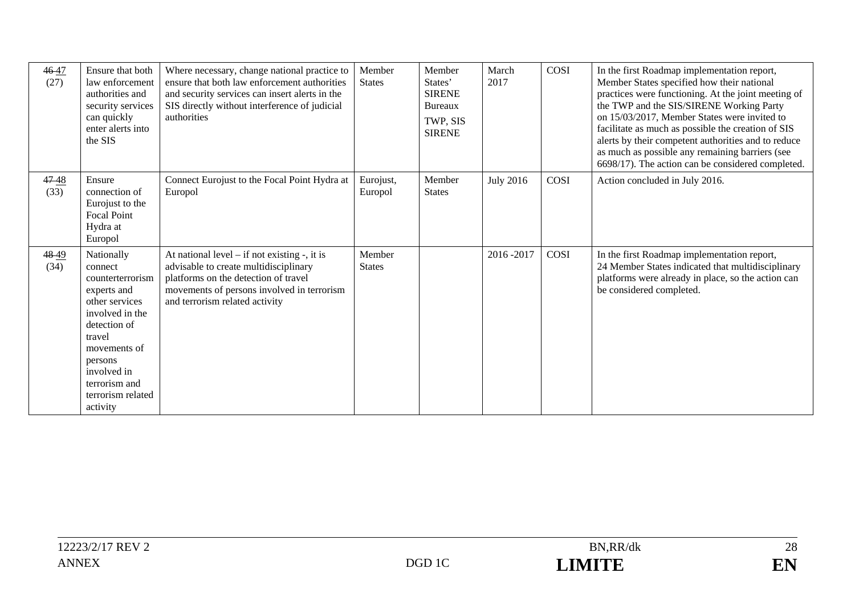| 4647<br>(27) | Ensure that both<br>law enforcement<br>authorities and<br>security services<br>can quickly<br>enter alerts into<br>the SIS                                                                                          | Where necessary, change national practice to<br>ensure that both law enforcement authorities<br>and security services can insert alerts in the<br>SIS directly without interference of judicial<br>authorities     | Member<br><b>States</b> | Member<br>States'<br><b>SIRENE</b><br>Bureaux<br>TWP, SIS<br><b>SIRENE</b> | March<br>2017    | COSI | In the first Roadmap implementation report,<br>Member States specified how their national<br>practices were functioning. At the joint meeting of<br>the TWP and the SIS/SIRENE Working Party<br>on 15/03/2017, Member States were invited to<br>facilitate as much as possible the creation of SIS<br>alerts by their competent authorities and to reduce<br>as much as possible any remaining barriers (see<br>6698/17). The action can be considered completed. |
|--------------|---------------------------------------------------------------------------------------------------------------------------------------------------------------------------------------------------------------------|--------------------------------------------------------------------------------------------------------------------------------------------------------------------------------------------------------------------|-------------------------|----------------------------------------------------------------------------|------------------|------|-------------------------------------------------------------------------------------------------------------------------------------------------------------------------------------------------------------------------------------------------------------------------------------------------------------------------------------------------------------------------------------------------------------------------------------------------------------------|
| 4748<br>(33) | Ensure<br>connection of<br>Eurojust to the<br>Focal Point<br>Hydra at<br>Europol                                                                                                                                    | Connect Eurojust to the Focal Point Hydra at<br>Europol                                                                                                                                                            | Eurojust,<br>Europol    | Member<br><b>States</b>                                                    | <b>July 2016</b> | COSI | Action concluded in July 2016.                                                                                                                                                                                                                                                                                                                                                                                                                                    |
| 4849<br>(34) | Nationally<br>connect<br>counterterrorism<br>experts and<br>other services<br>involved in the<br>detection of<br>travel<br>movements of<br>persons<br>involved in<br>terrorism and<br>terrorism related<br>activity | At national level $-$ if not existing $-$ , it is<br>advisable to create multidisciplinary<br>platforms on the detection of travel<br>movements of persons involved in terrorism<br>and terrorism related activity | Member<br><b>States</b> |                                                                            | 2016-2017        | COSI | In the first Roadmap implementation report,<br>24 Member States indicated that multidisciplinary<br>platforms were already in place, so the action can<br>be considered completed.                                                                                                                                                                                                                                                                                |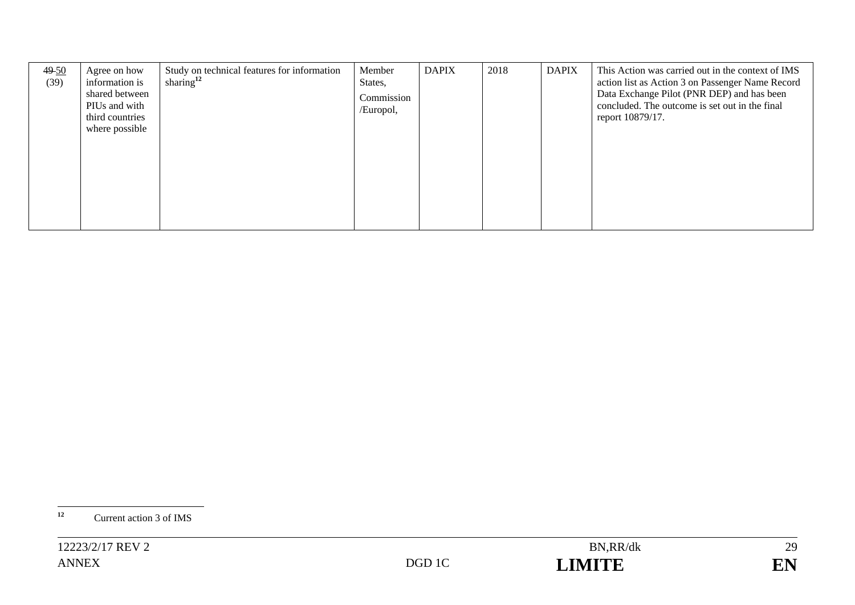| $49-50$<br>(39) | Agree on how<br>information is<br>shared between<br>PIUs and with<br>third countries<br>where possible | Study on technical features for information<br>sharing $12$ | Member<br>States,<br>Commission<br>/Europol, | <b>DAPIX</b> | 2018 | <b>DAPIX</b> | This Action was carried out in the context of IMS<br>action list as Action 3 on Passenger Name Record<br>Data Exchange Pilot (PNR DEP) and has been<br>concluded. The outcome is set out in the final<br>report 10879/17. |
|-----------------|--------------------------------------------------------------------------------------------------------|-------------------------------------------------------------|----------------------------------------------|--------------|------|--------------|---------------------------------------------------------------------------------------------------------------------------------------------------------------------------------------------------------------------------|
|                 |                                                                                                        |                                                             |                                              |              |      |              |                                                                                                                                                                                                                           |

**<sup>12</sup>** Current action 3 of IMS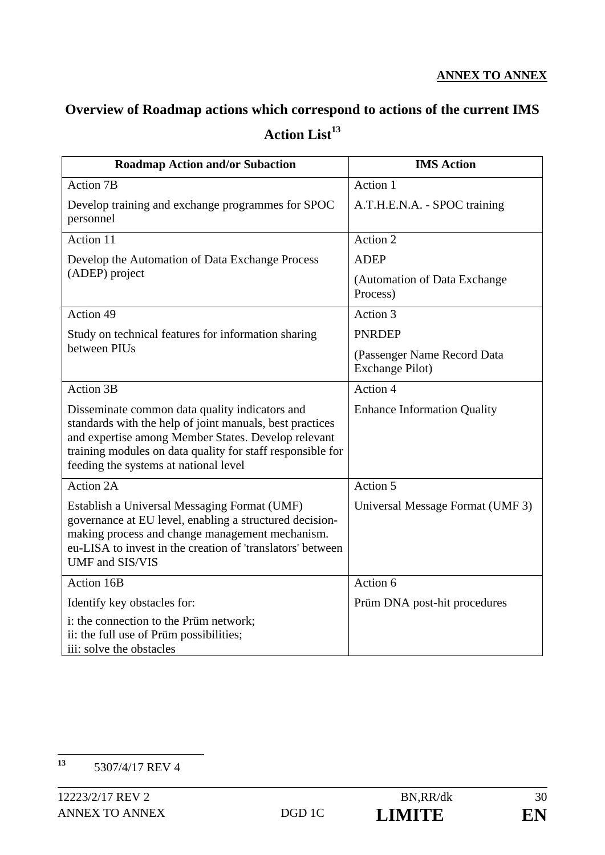# **Overview of Roadmap actions which correspond to actions of the current IMS**  Action List<sup>13</sup>

| <b>Roadmap Action and/or Subaction</b>                                                                                                                                                                                                                                   | <b>IMS Action</b>                              |  |  |
|--------------------------------------------------------------------------------------------------------------------------------------------------------------------------------------------------------------------------------------------------------------------------|------------------------------------------------|--|--|
| <b>Action 7B</b>                                                                                                                                                                                                                                                         | Action 1                                       |  |  |
| Develop training and exchange programmes for SPOC<br>personnel                                                                                                                                                                                                           | A.T.H.E.N.A. - SPOC training                   |  |  |
| Action 11                                                                                                                                                                                                                                                                | Action 2                                       |  |  |
| Develop the Automation of Data Exchange Process                                                                                                                                                                                                                          | <b>ADEP</b>                                    |  |  |
| (ADEP) project                                                                                                                                                                                                                                                           | (Automation of Data Exchange<br>Process)       |  |  |
| Action 49                                                                                                                                                                                                                                                                | Action 3                                       |  |  |
| Study on technical features for information sharing                                                                                                                                                                                                                      | <b>PNRDEP</b>                                  |  |  |
| between PIUs                                                                                                                                                                                                                                                             | (Passenger Name Record Data<br>Exchange Pilot) |  |  |
| <b>Action 3B</b>                                                                                                                                                                                                                                                         | Action 4                                       |  |  |
| Disseminate common data quality indicators and<br>standards with the help of joint manuals, best practices<br>and expertise among Member States. Develop relevant<br>training modules on data quality for staff responsible for<br>feeding the systems at national level | <b>Enhance Information Quality</b>             |  |  |
| Action 2A                                                                                                                                                                                                                                                                | Action 5                                       |  |  |
| Establish a Universal Messaging Format (UMF)<br>governance at EU level, enabling a structured decision-<br>making process and change management mechanism.<br>eu-LISA to invest in the creation of 'translators' between<br>UMF and SIS/VIS                              | Universal Message Format (UMF 3)               |  |  |
| Action 16B                                                                                                                                                                                                                                                               | Action 6                                       |  |  |
| Identify key obstacles for:                                                                                                                                                                                                                                              | Prüm DNA post-hit procedures                   |  |  |
| i: the connection to the Prüm network;<br>ii: the full use of Prüm possibilities;<br>iii: solve the obstacles                                                                                                                                                            |                                                |  |  |

 $13$ **<sup>13</sup>** 5307/4/17 REV 4